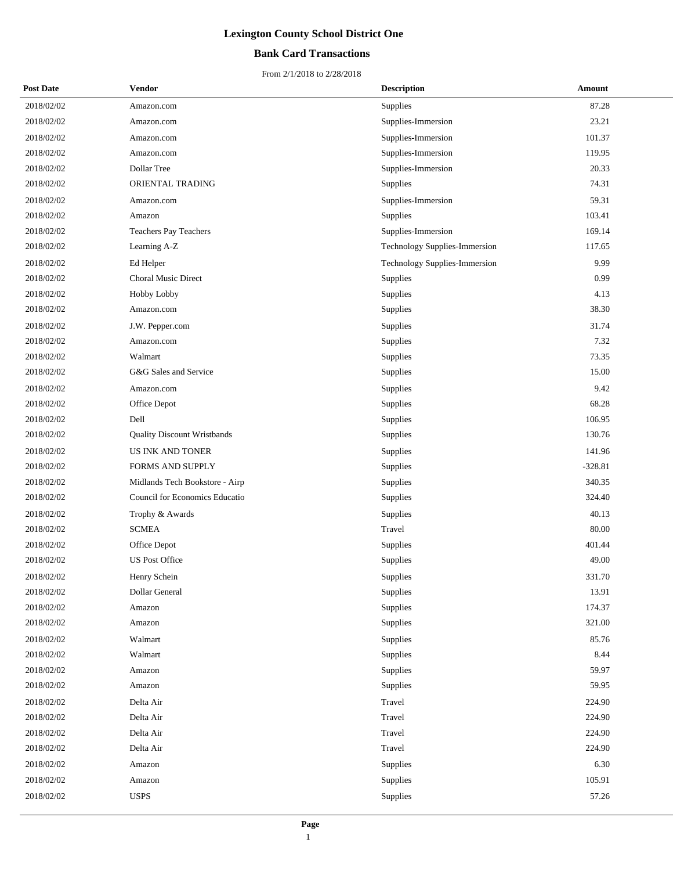## **Bank Card Transactions**

| <b>Post Date</b> | Vendor                             | <b>Description</b>            | Amount    |
|------------------|------------------------------------|-------------------------------|-----------|
| 2018/02/02       | Amazon.com                         | Supplies                      | 87.28     |
| 2018/02/02       | Amazon.com                         | Supplies-Immersion            | 23.21     |
| 2018/02/02       | Amazon.com                         | Supplies-Immersion            | 101.37    |
| 2018/02/02       | Amazon.com                         | Supplies-Immersion            | 119.95    |
| 2018/02/02       | Dollar Tree                        | Supplies-Immersion            | 20.33     |
| 2018/02/02       | ORIENTAL TRADING                   | Supplies                      | 74.31     |
| 2018/02/02       | Amazon.com                         | Supplies-Immersion            | 59.31     |
| 2018/02/02       | Amazon                             | Supplies                      | 103.41    |
| 2018/02/02       | Teachers Pay Teachers              | Supplies-Immersion            | 169.14    |
| 2018/02/02       | Learning A-Z                       | Technology Supplies-Immersion | 117.65    |
| 2018/02/02       | Ed Helper                          | Technology Supplies-Immersion | 9.99      |
| 2018/02/02       | <b>Choral Music Direct</b>         | Supplies                      | 0.99      |
| 2018/02/02       | Hobby Lobby                        | Supplies                      | 4.13      |
| 2018/02/02       | Amazon.com                         | Supplies                      | 38.30     |
| 2018/02/02       | J.W. Pepper.com                    | Supplies                      | 31.74     |
| 2018/02/02       | Amazon.com                         | Supplies                      | 7.32      |
| 2018/02/02       | Walmart                            | Supplies                      | 73.35     |
| 2018/02/02       | G&G Sales and Service              | Supplies                      | 15.00     |
| 2018/02/02       | Amazon.com                         | Supplies                      | 9.42      |
| 2018/02/02       | Office Depot                       | Supplies                      | 68.28     |
| 2018/02/02       | Dell                               | Supplies                      | 106.95    |
| 2018/02/02       | <b>Quality Discount Wristbands</b> | Supplies                      | 130.76    |
| 2018/02/02       | <b>US INK AND TONER</b>            | Supplies                      | 141.96    |
| 2018/02/02       | <b>FORMS AND SUPPLY</b>            | Supplies                      | $-328.81$ |
| 2018/02/02       | Midlands Tech Bookstore - Airp     | Supplies                      | 340.35    |
| 2018/02/02       | Council for Economics Educatio     | Supplies                      | 324.40    |
| 2018/02/02       | Trophy & Awards                    | Supplies                      | 40.13     |
| 2018/02/02       | <b>SCMEA</b>                       | Travel                        | 80.00     |
| 2018/02/02       | Office Depot                       | Supplies                      | 401.44    |
| 2018/02/02       | <b>US Post Office</b>              | Supplies                      | 49.00     |
| 2018/02/02       | Henry Schein                       | Supplies                      | 331.70    |
| 2018/02/02       | Dollar General                     | Supplies                      | 13.91     |
| 2018/02/02       | Amazon                             | Supplies                      | 174.37    |
| 2018/02/02       | Amazon                             | Supplies                      | 321.00    |
| 2018/02/02       | Walmart                            | Supplies                      | 85.76     |
| 2018/02/02       | Walmart                            | Supplies                      | 8.44      |
| 2018/02/02       | Amazon                             | Supplies                      | 59.97     |
| 2018/02/02       | Amazon                             | Supplies                      | 59.95     |
| 2018/02/02       | Delta Air                          | Travel                        | 224.90    |
| 2018/02/02       | Delta Air                          | Travel                        | 224.90    |
| 2018/02/02       | Delta Air                          | Travel                        | 224.90    |
| 2018/02/02       | Delta Air                          | Travel                        | 224.90    |
| 2018/02/02       | Amazon                             | Supplies                      | 6.30      |
| 2018/02/02       | Amazon                             | Supplies                      | 105.91    |
| 2018/02/02       | <b>USPS</b>                        | Supplies                      | 57.26     |
|                  |                                    |                               |           |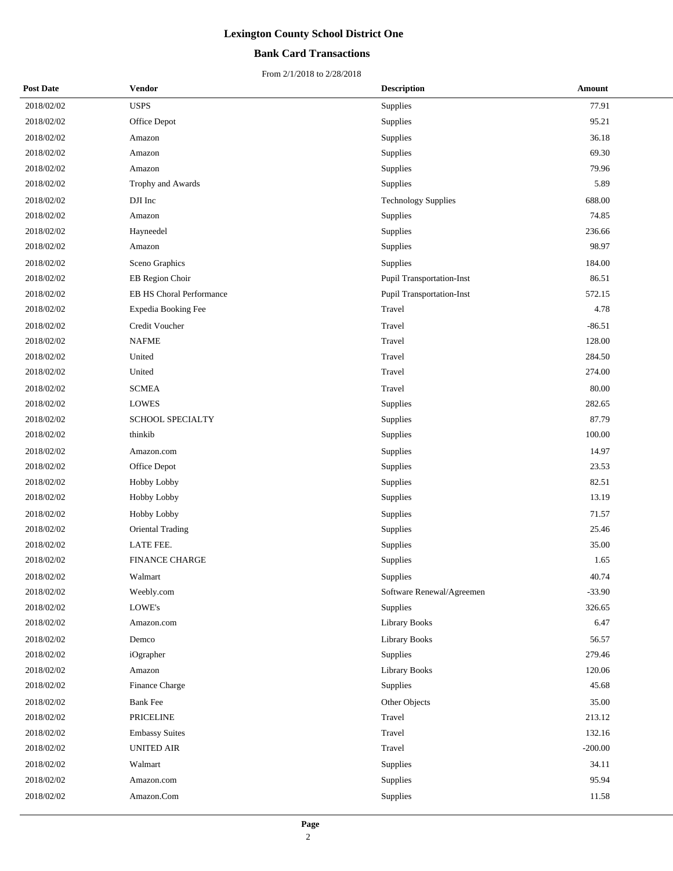## **Bank Card Transactions**

| <b>Post Date</b> | Vendor                   | <b>Description</b>         | Amount    |  |
|------------------|--------------------------|----------------------------|-----------|--|
| 2018/02/02       | <b>USPS</b>              | Supplies                   | 77.91     |  |
| 2018/02/02       | Office Depot             | Supplies                   | 95.21     |  |
| 2018/02/02       | Amazon                   | Supplies                   | 36.18     |  |
| 2018/02/02       | Amazon                   | Supplies                   | 69.30     |  |
| 2018/02/02       | Amazon                   | Supplies                   | 79.96     |  |
| 2018/02/02       | Trophy and Awards        | Supplies                   | 5.89      |  |
| 2018/02/02       | DJI Inc                  | <b>Technology Supplies</b> | 688.00    |  |
| 2018/02/02       | Amazon                   | Supplies                   | 74.85     |  |
| 2018/02/02       | Hayneedel                | Supplies                   | 236.66    |  |
| 2018/02/02       | Amazon                   | Supplies                   | 98.97     |  |
| 2018/02/02       | Sceno Graphics           | Supplies                   | 184.00    |  |
| 2018/02/02       | EB Region Choir          | Pupil Transportation-Inst  | 86.51     |  |
| 2018/02/02       | EB HS Choral Performance | Pupil Transportation-Inst  | 572.15    |  |
| 2018/02/02       | Expedia Booking Fee      | Travel                     | 4.78      |  |
| 2018/02/02       | Credit Voucher           | Travel                     | $-86.51$  |  |
| 2018/02/02       | <b>NAFME</b>             | Travel                     | 128.00    |  |
| 2018/02/02       | United                   | Travel                     | 284.50    |  |
| 2018/02/02       | United                   | Travel                     | 274.00    |  |
| 2018/02/02       | <b>SCMEA</b>             | Travel                     | 80.00     |  |
| 2018/02/02       | <b>LOWES</b>             | Supplies                   | 282.65    |  |
| 2018/02/02       | <b>SCHOOL SPECIALTY</b>  | Supplies                   | 87.79     |  |
| 2018/02/02       | thinkib                  | Supplies                   | 100.00    |  |
| 2018/02/02       | Amazon.com               | Supplies                   | 14.97     |  |
| 2018/02/02       | Office Depot             | Supplies                   | 23.53     |  |
| 2018/02/02       | Hobby Lobby              | Supplies                   | 82.51     |  |
| 2018/02/02       | Hobby Lobby              | Supplies                   | 13.19     |  |
| 2018/02/02       | Hobby Lobby              | Supplies                   | 71.57     |  |
| 2018/02/02       | Oriental Trading         | Supplies                   | 25.46     |  |
| 2018/02/02       | LATE FEE.                | Supplies                   | 35.00     |  |
| 2018/02/02       | <b>FINANCE CHARGE</b>    | Supplies                   | 1.65      |  |
| 2018/02/02       | Walmart                  | Supplies                   | 40.74     |  |
| 2018/02/02       | Weebly.com               | Software Renewal/Agreemen  | $-33.90$  |  |
| 2018/02/02       | LOWE's                   | Supplies                   | 326.65    |  |
| 2018/02/02       | Amazon.com               | Library Books              | 6.47      |  |
| 2018/02/02       | Demco                    | <b>Library Books</b>       | 56.57     |  |
| 2018/02/02       | iOgrapher                | Supplies                   | 279.46    |  |
| 2018/02/02       | Amazon                   | <b>Library Books</b>       | 120.06    |  |
| 2018/02/02       | Finance Charge           | Supplies                   | 45.68     |  |
| 2018/02/02       | <b>Bank Fee</b>          | Other Objects              | 35.00     |  |
| 2018/02/02       | <b>PRICELINE</b>         | Travel                     | 213.12    |  |
| 2018/02/02       | <b>Embassy Suites</b>    | Travel                     | 132.16    |  |
| 2018/02/02       | <b>UNITED AIR</b>        | Travel                     | $-200.00$ |  |
| 2018/02/02       | Walmart                  | Supplies                   | 34.11     |  |
| 2018/02/02       | Amazon.com               | Supplies                   | 95.94     |  |
| 2018/02/02       | Amazon.Com               | Supplies                   | 11.58     |  |
|                  |                          |                            |           |  |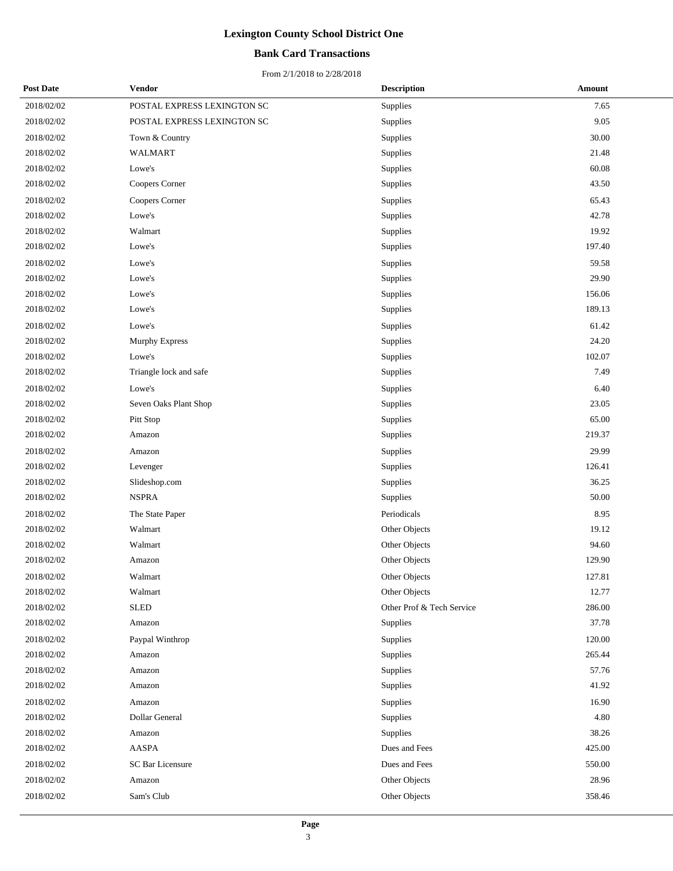## **Bank Card Transactions**

| <b>Post Date</b> | <b>Vendor</b>               | <b>Description</b>        | Amount |
|------------------|-----------------------------|---------------------------|--------|
| 2018/02/02       | POSTAL EXPRESS LEXINGTON SC | Supplies                  | 7.65   |
| 2018/02/02       | POSTAL EXPRESS LEXINGTON SC | Supplies                  | 9.05   |
| 2018/02/02       | Town & Country              | Supplies                  | 30.00  |
| 2018/02/02       | <b>WALMART</b>              | Supplies                  | 21.48  |
| 2018/02/02       | Lowe's                      | Supplies                  | 60.08  |
| 2018/02/02       | Coopers Corner              | Supplies                  | 43.50  |
| 2018/02/02       | Coopers Corner              | Supplies                  | 65.43  |
| 2018/02/02       | Lowe's                      | Supplies                  | 42.78  |
| 2018/02/02       | Walmart                     | Supplies                  | 19.92  |
| 2018/02/02       | Lowe's                      | Supplies                  | 197.40 |
| 2018/02/02       | Lowe's                      | Supplies                  | 59.58  |
| 2018/02/02       | Lowe's                      | Supplies                  | 29.90  |
| 2018/02/02       | Lowe's                      | Supplies                  | 156.06 |
| 2018/02/02       | Lowe's                      | Supplies                  | 189.13 |
| 2018/02/02       | Lowe's                      | Supplies                  | 61.42  |
| 2018/02/02       | Murphy Express              | Supplies                  | 24.20  |
| 2018/02/02       | Lowe's                      | Supplies                  | 102.07 |
| 2018/02/02       | Triangle lock and safe      | Supplies                  | 7.49   |
| 2018/02/02       | Lowe's                      | <b>Supplies</b>           | 6.40   |
| 2018/02/02       | Seven Oaks Plant Shop       | Supplies                  | 23.05  |
| 2018/02/02       | Pitt Stop                   | Supplies                  | 65.00  |
| $2018/02/02$     | Amazon                      | Supplies                  | 219.37 |
| 2018/02/02       | Amazon                      | Supplies                  | 29.99  |
| 2018/02/02       | Levenger                    | Supplies                  | 126.41 |
| 2018/02/02       | Slideshop.com               | Supplies                  | 36.25  |
| 2018/02/02       | <b>NSPRA</b>                | Supplies                  | 50.00  |
| 2018/02/02       | The State Paper             | Periodicals               | 8.95   |
| 2018/02/02       | Walmart                     | Other Objects             | 19.12  |
| 2018/02/02       | Walmart                     | Other Objects             | 94.60  |
| 2018/02/02       | Amazon                      | Other Objects             | 129.90 |
| 2018/02/02       | Walmart                     | Other Objects             | 127.81 |
| 2018/02/02       | Walmart                     | Other Objects             | 12.77  |
| 2018/02/02       | <b>SLED</b>                 | Other Prof & Tech Service | 286.00 |
| 2018/02/02       | Amazon                      | Supplies                  | 37.78  |
| 2018/02/02       | Paypal Winthrop             | Supplies                  | 120.00 |
| 2018/02/02       | Amazon                      | Supplies                  | 265.44 |
| 2018/02/02       | Amazon                      | Supplies                  | 57.76  |
| 2018/02/02       | Amazon                      | Supplies                  | 41.92  |
| 2018/02/02       | Amazon                      | Supplies                  | 16.90  |
| 2018/02/02       | Dollar General              | Supplies                  | 4.80   |
| 2018/02/02       | Amazon                      | Supplies                  | 38.26  |
| 2018/02/02       | AASPA                       | Dues and Fees             | 425.00 |
| 2018/02/02       | SC Bar Licensure            | Dues and Fees             | 550.00 |
| 2018/02/02       | Amazon                      | Other Objects             | 28.96  |
| 2018/02/02       | Sam's Club                  | Other Objects             | 358.46 |
|                  |                             |                           |        |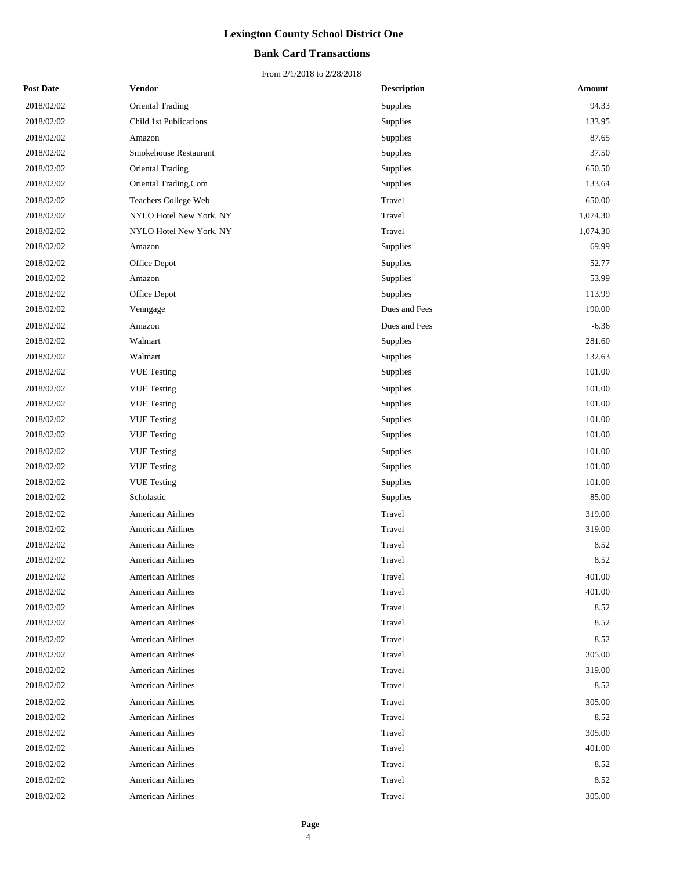## **Bank Card Transactions**

| <b>Post Date</b> | Vendor                   | <b>Description</b> | Amount   |
|------------------|--------------------------|--------------------|----------|
| 2018/02/02       | Oriental Trading         | Supplies           | 94.33    |
| 2018/02/02       | Child 1st Publications   | Supplies           | 133.95   |
| 2018/02/02       | Amazon                   | Supplies           | 87.65    |
| 2018/02/02       | Smokehouse Restaurant    | Supplies           | 37.50    |
| 2018/02/02       | Oriental Trading         | Supplies           | 650.50   |
| 2018/02/02       | Oriental Trading.Com     | Supplies           | 133.64   |
| 2018/02/02       | Teachers College Web     | Travel             | 650.00   |
| 2018/02/02       | NYLO Hotel New York, NY  | Travel             | 1,074.30 |
| 2018/02/02       | NYLO Hotel New York, NY  | Travel             | 1,074.30 |
| 2018/02/02       | Amazon                   | Supplies           | 69.99    |
| 2018/02/02       | Office Depot             | Supplies           | 52.77    |
| 2018/02/02       | Amazon                   | Supplies           | 53.99    |
| 2018/02/02       | Office Depot             | Supplies           | 113.99   |
| 2018/02/02       | Venngage                 | Dues and Fees      | 190.00   |
| 2018/02/02       | Amazon                   | Dues and Fees      | $-6.36$  |
| 2018/02/02       | Walmart                  | Supplies           | 281.60   |
| 2018/02/02       | Walmart                  | Supplies           | 132.63   |
| 2018/02/02       | <b>VUE Testing</b>       | Supplies           | 101.00   |
| 2018/02/02       | <b>VUE</b> Testing       | Supplies           | 101.00   |
| 2018/02/02       | <b>VUE</b> Testing       | Supplies           | 101.00   |
| 2018/02/02       | <b>VUE Testing</b>       | Supplies           | 101.00   |
| 2018/02/02       | <b>VUE Testing</b>       | Supplies           | 101.00   |
| 2018/02/02       | <b>VUE</b> Testing       | Supplies           | 101.00   |
| 2018/02/02       | <b>VUE</b> Testing       | Supplies           | 101.00   |
| 2018/02/02       | <b>VUE Testing</b>       | Supplies           | 101.00   |
| 2018/02/02       | Scholastic               | Supplies           | 85.00    |
| 2018/02/02       | <b>American Airlines</b> | Travel             | 319.00   |
| 2018/02/02       | American Airlines        | Travel             | 319.00   |
| 2018/02/02       | <b>American Airlines</b> | Travel             | 8.52     |
| 2018/02/02       | American Airlines        | Travel             | 8.52     |
| 2018/02/02       | <b>American Airlines</b> | Travel             | 401.00   |
| 2018/02/02       | <b>American Airlines</b> | Travel             | 401.00   |
| 2018/02/02       | American Airlines        | Travel             | 8.52     |
| 2018/02/02       | <b>American Airlines</b> | Travel             | 8.52     |
| 2018/02/02       | <b>American Airlines</b> | Travel             | 8.52     |
| 2018/02/02       | American Airlines        | Travel             | 305.00   |
| 2018/02/02       | <b>American Airlines</b> | Travel             | 319.00   |
| 2018/02/02       | <b>American Airlines</b> | Travel             | 8.52     |
| 2018/02/02       | American Airlines        | Travel             | 305.00   |
| 2018/02/02       | <b>American Airlines</b> | Travel             | 8.52     |
| 2018/02/02       | American Airlines        | Travel             | 305.00   |
| 2018/02/02       | <b>American Airlines</b> | Travel             | 401.00   |
| 2018/02/02       | <b>American Airlines</b> | Travel             | 8.52     |
| 2018/02/02       | <b>American Airlines</b> | Travel             | 8.52     |
| 2018/02/02       | <b>American Airlines</b> | Travel             | 305.00   |
|                  |                          |                    |          |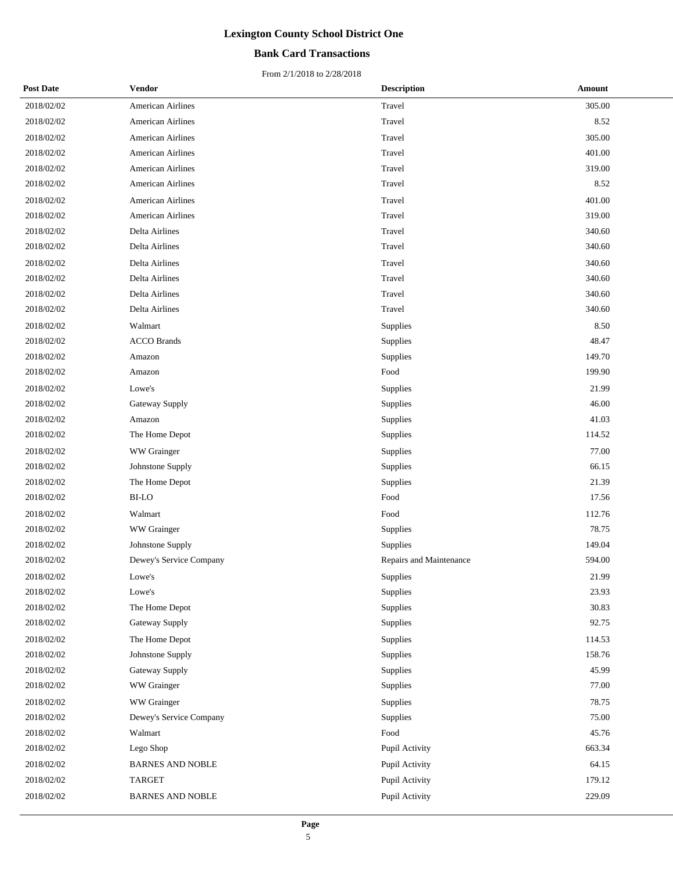## **Bank Card Transactions**

| <b>Post Date</b> | Vendor                   | <b>Description</b>      | Amount |
|------------------|--------------------------|-------------------------|--------|
| 2018/02/02       | <b>American Airlines</b> | Travel                  | 305.00 |
| 2018/02/02       | <b>American Airlines</b> | Travel                  | 8.52   |
| 2018/02/02       | <b>American Airlines</b> | Travel                  | 305.00 |
| 2018/02/02       | <b>American Airlines</b> | Travel                  | 401.00 |
| 2018/02/02       | <b>American Airlines</b> | Travel                  | 319.00 |
| 2018/02/02       | <b>American Airlines</b> | Travel                  | 8.52   |
| 2018/02/02       | <b>American Airlines</b> | Travel                  | 401.00 |
| 2018/02/02       | <b>American Airlines</b> | Travel                  | 319.00 |
| 2018/02/02       | Delta Airlines           | Travel                  | 340.60 |
| 2018/02/02       | Delta Airlines           | Travel                  | 340.60 |
| 2018/02/02       | Delta Airlines           | Travel                  | 340.60 |
| 2018/02/02       | Delta Airlines           | Travel                  | 340.60 |
| 2018/02/02       | Delta Airlines           | Travel                  | 340.60 |
| 2018/02/02       | Delta Airlines           | Travel                  | 340.60 |
| 2018/02/02       | Walmart                  | Supplies                | 8.50   |
| 2018/02/02       | <b>ACCO Brands</b>       | Supplies                | 48.47  |
| 2018/02/02       | Amazon                   | Supplies                | 149.70 |
| 2018/02/02       | Amazon                   | Food                    | 199.90 |
| 2018/02/02       | Lowe's                   | Supplies                | 21.99  |
| 2018/02/02       | Gateway Supply           | Supplies                | 46.00  |
| 2018/02/02       | Amazon                   | Supplies                | 41.03  |
| 2018/02/02       | The Home Depot           | Supplies                | 114.52 |
| 2018/02/02       | WW Grainger              | Supplies                | 77.00  |
| 2018/02/02       | Johnstone Supply         | Supplies                | 66.15  |
| 2018/02/02       | The Home Depot           | Supplies                | 21.39  |
| 2018/02/02       | BI-LO                    | Food                    | 17.56  |
| 2018/02/02       | Walmart                  | Food                    | 112.76 |
| 2018/02/02       | WW Grainger              | Supplies                | 78.75  |
| 2018/02/02       | Johnstone Supply         | Supplies                | 149.04 |
| 2018/02/02       | Dewey's Service Company  | Repairs and Maintenance | 594.00 |
| 2018/02/02       | Lowe's                   | Supplies                | 21.99  |
| 2018/02/02       | Lowe's                   | Supplies                | 23.93  |
| 2018/02/02       | The Home Depot           | Supplies                | 30.83  |
| 2018/02/02       | Gateway Supply           | Supplies                | 92.75  |
| 2018/02/02       | The Home Depot           | Supplies                | 114.53 |
| 2018/02/02       | Johnstone Supply         | Supplies                | 158.76 |
| 2018/02/02       | Gateway Supply           | Supplies                | 45.99  |
| 2018/02/02       | WW Grainger              | Supplies                | 77.00  |
| 2018/02/02       | WW Grainger              | Supplies                | 78.75  |
| 2018/02/02       | Dewey's Service Company  | Supplies                | 75.00  |
| 2018/02/02       | Walmart                  | Food                    | 45.76  |
| 2018/02/02       | Lego Shop                | Pupil Activity          | 663.34 |
| 2018/02/02       | <b>BARNES AND NOBLE</b>  | Pupil Activity          | 64.15  |
| 2018/02/02       | <b>TARGET</b>            | Pupil Activity          | 179.12 |
| 2018/02/02       | <b>BARNES AND NOBLE</b>  | Pupil Activity          | 229.09 |
|                  |                          |                         |        |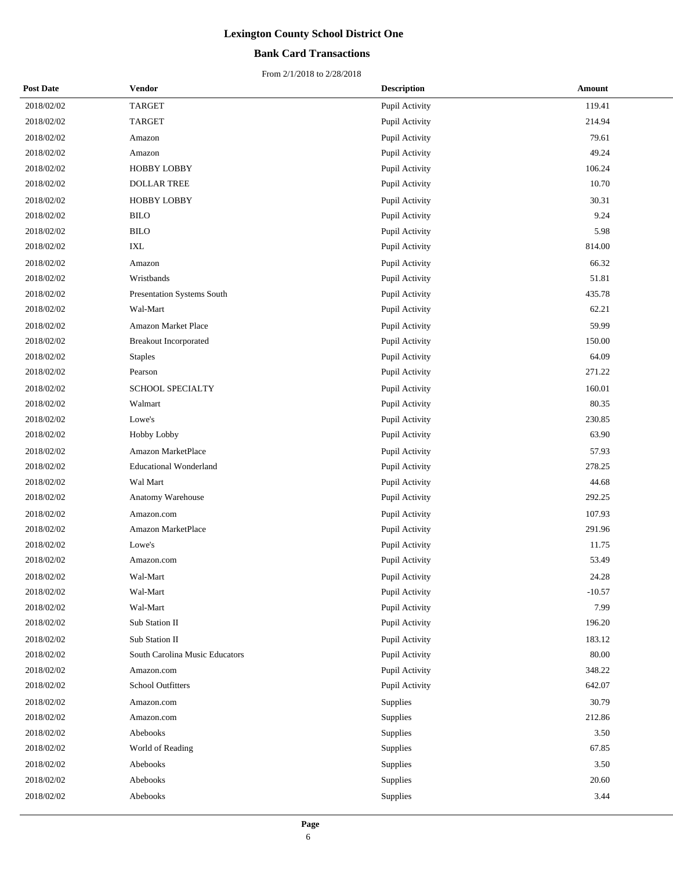## **Bank Card Transactions**

| <b>Post Date</b> | Vendor                         | <b>Description</b> | Amount   |
|------------------|--------------------------------|--------------------|----------|
| 2018/02/02       | <b>TARGET</b>                  | Pupil Activity     | 119.41   |
| 2018/02/02       | <b>TARGET</b>                  | Pupil Activity     | 214.94   |
| 2018/02/02       | Amazon                         | Pupil Activity     | 79.61    |
| 2018/02/02       | Amazon                         | Pupil Activity     | 49.24    |
| 2018/02/02       | HOBBY LOBBY                    | Pupil Activity     | 106.24   |
| 2018/02/02       | <b>DOLLAR TREE</b>             | Pupil Activity     | 10.70    |
| 2018/02/02       | <b>HOBBY LOBBY</b>             | Pupil Activity     | 30.31    |
| 2018/02/02       | <b>BILO</b>                    | Pupil Activity     | 9.24     |
| 2018/02/02       | <b>BILO</b>                    | Pupil Activity     | 5.98     |
| 2018/02/02       | $\ensuremath{\text{IXL}}$      | Pupil Activity     | 814.00   |
| 2018/02/02       | Amazon                         | Pupil Activity     | 66.32    |
| 2018/02/02       | Wristbands                     | Pupil Activity     | 51.81    |
| 2018/02/02       | Presentation Systems South     | Pupil Activity     | 435.78   |
| 2018/02/02       | Wal-Mart                       | Pupil Activity     | 62.21    |
| 2018/02/02       | Amazon Market Place            | Pupil Activity     | 59.99    |
| 2018/02/02       | <b>Breakout Incorporated</b>   | Pupil Activity     | 150.00   |
| 2018/02/02       | <b>Staples</b>                 | Pupil Activity     | 64.09    |
| 2018/02/02       | Pearson                        | Pupil Activity     | 271.22   |
| 2018/02/02       | <b>SCHOOL SPECIALTY</b>        | Pupil Activity     | 160.01   |
| 2018/02/02       | Walmart                        | Pupil Activity     | 80.35    |
| 2018/02/02       | Lowe's                         | Pupil Activity     | 230.85   |
| 2018/02/02       | <b>Hobby Lobby</b>             | Pupil Activity     | 63.90    |
| 2018/02/02       | Amazon MarketPlace             | Pupil Activity     | 57.93    |
| 2018/02/02       | <b>Educational Wonderland</b>  | Pupil Activity     | 278.25   |
| 2018/02/02       | Wal Mart                       | Pupil Activity     | 44.68    |
| 2018/02/02       | Anatomy Warehouse              | Pupil Activity     | 292.25   |
| 2018/02/02       | Amazon.com                     | Pupil Activity     | 107.93   |
| 2018/02/02       | Amazon MarketPlace             | Pupil Activity     | 291.96   |
| 2018/02/02       | Lowe's                         | Pupil Activity     | 11.75    |
| 2018/02/02       | Amazon.com                     | Pupil Activity     | 53.49    |
| 2018/02/02       | Wal-Mart                       | Pupil Activity     | 24.28    |
| 2018/02/02       | Wal-Mart                       | Pupil Activity     | $-10.57$ |
| 2018/02/02       | Wal-Mart                       | Pupil Activity     | 7.99     |
| 2018/02/02       | Sub Station II                 | Pupil Activity     | 196.20   |
| 2018/02/02       | Sub Station II                 | Pupil Activity     | 183.12   |
| 2018/02/02       | South Carolina Music Educators | Pupil Activity     | 80.00    |
| 2018/02/02       | Amazon.com                     | Pupil Activity     | 348.22   |
| 2018/02/02       | School Outfitters              | Pupil Activity     | 642.07   |
| 2018/02/02       | Amazon.com                     | Supplies           | 30.79    |
| 2018/02/02       | Amazon.com                     | Supplies           | 212.86   |
| 2018/02/02       | Abebooks                       | Supplies           | 3.50     |
| 2018/02/02       | World of Reading               | Supplies           | 67.85    |
| 2018/02/02       | Abebooks                       | Supplies           | 3.50     |
| 2018/02/02       | Abebooks                       | Supplies           | 20.60    |
| 2018/02/02       | Abebooks                       | Supplies           | 3.44     |
|                  |                                |                    |          |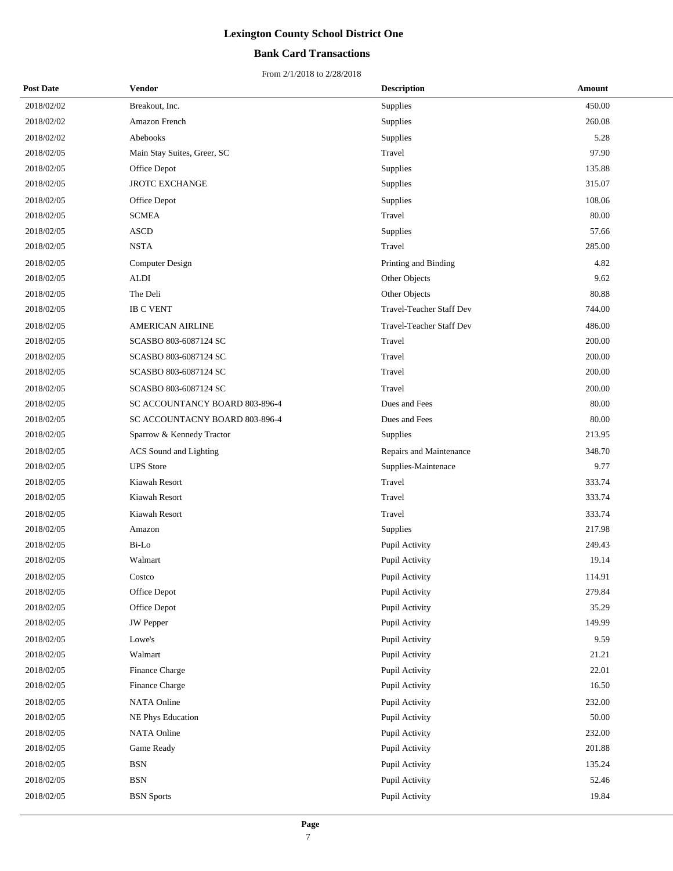## **Bank Card Transactions**

| <b>Post Date</b> | Vendor                         | <b>Description</b>              | Amount |
|------------------|--------------------------------|---------------------------------|--------|
| 2018/02/02       | Breakout, Inc.                 | Supplies                        | 450.00 |
| 2018/02/02       | Amazon French                  | Supplies                        | 260.08 |
| 2018/02/02       | Abebooks                       | Supplies                        | 5.28   |
| 2018/02/05       | Main Stay Suites, Greer, SC    | Travel                          | 97.90  |
| 2018/02/05       | Office Depot                   | Supplies                        | 135.88 |
| 2018/02/05       | <b>JROTC EXCHANGE</b>          | Supplies                        | 315.07 |
| 2018/02/05       | Office Depot                   | Supplies                        | 108.06 |
| 2018/02/05       | <b>SCMEA</b>                   | Travel                          | 80.00  |
| 2018/02/05       | <b>ASCD</b>                    | Supplies                        | 57.66  |
| 2018/02/05       | <b>NSTA</b>                    | Travel                          | 285.00 |
| 2018/02/05       | Computer Design                | Printing and Binding            | 4.82   |
| 2018/02/05       | <b>ALDI</b>                    | Other Objects                   | 9.62   |
| 2018/02/05       | The Deli                       | Other Objects                   | 80.88  |
| 2018/02/05       | <b>IB C VENT</b>               | Travel-Teacher Staff Dev        | 744.00 |
| 2018/02/05       | <b>AMERICAN AIRLINE</b>        | <b>Travel-Teacher Staff Dev</b> | 486.00 |
| 2018/02/05       | SCASBO 803-6087124 SC          | Travel                          | 200.00 |
| 2018/02/05       | SCASBO 803-6087124 SC          | Travel                          | 200.00 |
| 2018/02/05       | SCASBO 803-6087124 SC          | Travel                          | 200.00 |
| 2018/02/05       | SCASBO 803-6087124 SC          | Travel                          | 200.00 |
| 2018/02/05       | SC ACCOUNTANCY BOARD 803-896-4 | Dues and Fees                   | 80.00  |
| 2018/02/05       | SC ACCOUNTACNY BOARD 803-896-4 | Dues and Fees                   | 80.00  |
| 2018/02/05       | Sparrow & Kennedy Tractor      | Supplies                        | 213.95 |
| 2018/02/05       | ACS Sound and Lighting         | Repairs and Maintenance         | 348.70 |
| 2018/02/05       | <b>UPS</b> Store               | Supplies-Maintenace             | 9.77   |
| 2018/02/05       | Kiawah Resort                  | Travel                          | 333.74 |
| 2018/02/05       | Kiawah Resort                  | Travel                          | 333.74 |
| 2018/02/05       | Kiawah Resort                  | Travel                          | 333.74 |
| 2018/02/05       | Amazon                         | Supplies                        | 217.98 |
| 2018/02/05       | Bi-Lo                          | Pupil Activity                  | 249.43 |
| 2018/02/05       | Walmart                        | Pupil Activity                  | 19.14  |
| 2018/02/05       | Costco                         | Pupil Activity                  | 114.91 |
| 2018/02/05       | Office Depot                   | Pupil Activity                  | 279.84 |
| 2018/02/05       | Office Depot                   | Pupil Activity                  | 35.29  |
| 2018/02/05       | <b>JW</b> Pepper               | Pupil Activity                  | 149.99 |
| 2018/02/05       | Lowe's                         | Pupil Activity                  | 9.59   |
| 2018/02/05       | Walmart                        | Pupil Activity                  | 21.21  |
| 2018/02/05       | Finance Charge                 | Pupil Activity                  | 22.01  |
| 2018/02/05       | Finance Charge                 | Pupil Activity                  | 16.50  |
| 2018/02/05       | <b>NATA Online</b>             | Pupil Activity                  | 232.00 |
| 2018/02/05       | NE Phys Education              | Pupil Activity                  | 50.00  |
| 2018/02/05       | NATA Online                    | Pupil Activity                  | 232.00 |
| 2018/02/05       | Game Ready                     | Pupil Activity                  | 201.88 |
| 2018/02/05       | <b>BSN</b>                     | Pupil Activity                  | 135.24 |
| 2018/02/05       | <b>BSN</b>                     | Pupil Activity                  | 52.46  |
| 2018/02/05       | <b>BSN</b> Sports              | Pupil Activity                  | 19.84  |
|                  |                                |                                 |        |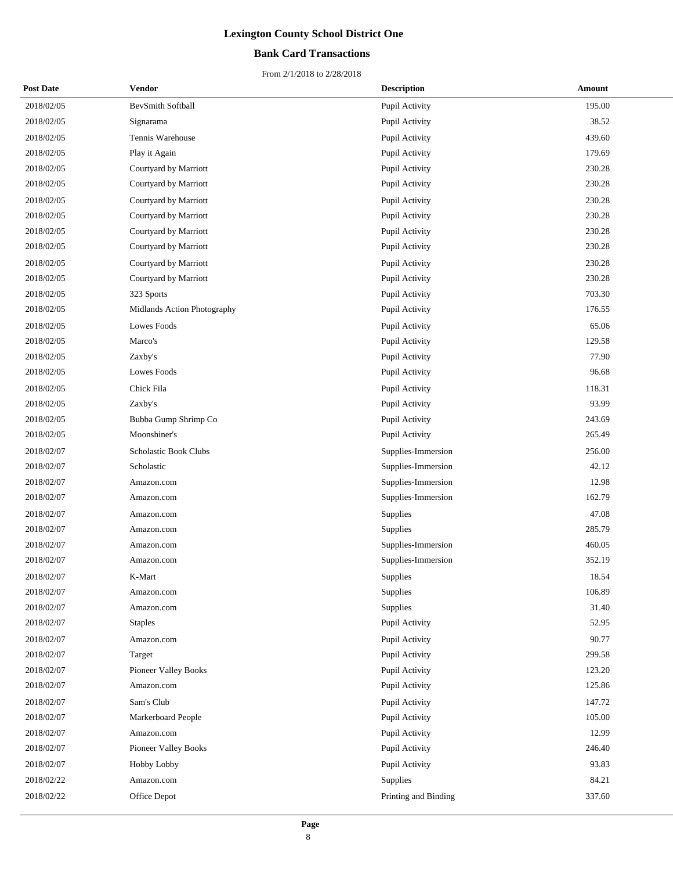## **Bank Card Transactions**

| <b>Post Date</b> | Vendor                      | <b>Description</b>   | Amount |
|------------------|-----------------------------|----------------------|--------|
| 2018/02/05       | BevSmith Softball           | Pupil Activity       | 195.00 |
| 2018/02/05       | Signarama                   | Pupil Activity       | 38.52  |
| 2018/02/05       | Tennis Warehouse            | Pupil Activity       | 439.60 |
| 2018/02/05       | Play it Again               | Pupil Activity       | 179.69 |
| 2018/02/05       | Courtyard by Marriott       | Pupil Activity       | 230.28 |
| 2018/02/05       | Courtyard by Marriott       | Pupil Activity       | 230.28 |
| 2018/02/05       | Courtyard by Marriott       | Pupil Activity       | 230.28 |
| 2018/02/05       | Courtyard by Marriott       | Pupil Activity       | 230.28 |
| 2018/02/05       | Courtyard by Marriott       | Pupil Activity       | 230.28 |
| 2018/02/05       | Courtyard by Marriott       | Pupil Activity       | 230.28 |
| 2018/02/05       | Courtyard by Marriott       | Pupil Activity       | 230.28 |
| 2018/02/05       | Courtyard by Marriott       | Pupil Activity       | 230.28 |
| 2018/02/05       | 323 Sports                  | Pupil Activity       | 703.30 |
| 2018/02/05       | Midlands Action Photography | Pupil Activity       | 176.55 |
| 2018/02/05       | Lowes Foods                 | Pupil Activity       | 65.06  |
| 2018/02/05       | Marco's                     | Pupil Activity       | 129.58 |
| 2018/02/05       | Zaxby's                     | Pupil Activity       | 77.90  |
| 2018/02/05       | Lowes Foods                 | Pupil Activity       | 96.68  |
| 2018/02/05       | Chick Fila                  | Pupil Activity       | 118.31 |
| 2018/02/05       | Zaxby's                     | Pupil Activity       | 93.99  |
| 2018/02/05       | Bubba Gump Shrimp Co        | Pupil Activity       | 243.69 |
| 2018/02/05       | Moonshiner's                | Pupil Activity       | 265.49 |
| 2018/02/07       | Scholastic Book Clubs       | Supplies-Immersion   | 256.00 |
| 2018/02/07       | Scholastic                  | Supplies-Immersion   | 42.12  |
| 2018/02/07       | Amazon.com                  | Supplies-Immersion   | 12.98  |
| 2018/02/07       | Amazon.com                  | Supplies-Immersion   | 162.79 |
| 2018/02/07       | Amazon.com                  | Supplies             | 47.08  |
| 2018/02/07       | Amazon.com                  | Supplies             | 285.79 |
| 2018/02/07       | Amazon.com                  | Supplies-Immersion   | 460.05 |
| 2018/02/07       | Amazon.com                  | Supplies-Immersion   | 352.19 |
| 2018/02/07       | K-Mart                      | Supplies             | 18.54  |
| 2018/02/07       | Amazon.com                  | Supplies             | 106.89 |
| 2018/02/07       | Amazon.com                  | Supplies             | 31.40  |
| 2018/02/07       | <b>Staples</b>              | Pupil Activity       | 52.95  |
| 2018/02/07       | Amazon.com                  | Pupil Activity       | 90.77  |
| 2018/02/07       | Target                      | Pupil Activity       | 299.58 |
| 2018/02/07       | Pioneer Valley Books        | Pupil Activity       | 123.20 |
| 2018/02/07       | Amazon.com                  | Pupil Activity       | 125.86 |
| 2018/02/07       | Sam's Club                  | Pupil Activity       | 147.72 |
| 2018/02/07       | Markerboard People          | Pupil Activity       | 105.00 |
| 2018/02/07       | Amazon.com                  | Pupil Activity       | 12.99  |
| 2018/02/07       | Pioneer Valley Books        | Pupil Activity       | 246.40 |
| 2018/02/07       | Hobby Lobby                 | Pupil Activity       | 93.83  |
| 2018/02/22       | Amazon.com                  | Supplies             | 84.21  |
| 2018/02/22       | Office Depot                | Printing and Binding | 337.60 |
|                  |                             |                      |        |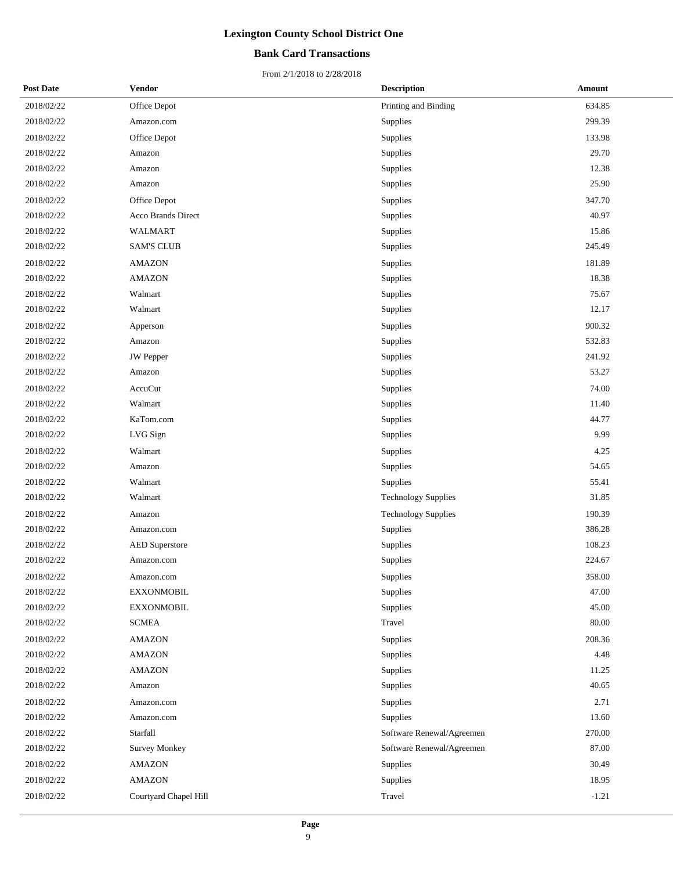## **Bank Card Transactions**

| <b>Post Date</b> | Vendor                | <b>Description</b>         | Amount  |
|------------------|-----------------------|----------------------------|---------|
| 2018/02/22       | Office Depot          | Printing and Binding       | 634.85  |
| 2018/02/22       | Amazon.com            | Supplies                   | 299.39  |
| 2018/02/22       | Office Depot          | Supplies                   | 133.98  |
| 2018/02/22       | Amazon                | Supplies                   | 29.70   |
| 2018/02/22       | Amazon                | Supplies                   | 12.38   |
| 2018/02/22       | Amazon                | Supplies                   | 25.90   |
| 2018/02/22       | Office Depot          | Supplies                   | 347.70  |
| 2018/02/22       | Acco Brands Direct    | Supplies                   | 40.97   |
| 2018/02/22       | WALMART               | Supplies                   | 15.86   |
| 2018/02/22       | <b>SAM'S CLUB</b>     | Supplies                   | 245.49  |
| 2018/02/22       | <b>AMAZON</b>         | Supplies                   | 181.89  |
| 2018/02/22       | <b>AMAZON</b>         | Supplies                   | 18.38   |
| 2018/02/22       | Walmart               | Supplies                   | 75.67   |
| 2018/02/22       | Walmart               | Supplies                   | 12.17   |
| 2018/02/22       | Apperson              | Supplies                   | 900.32  |
| 2018/02/22       | Amazon                | Supplies                   | 532.83  |
| 2018/02/22       | <b>JW</b> Pepper      | Supplies                   | 241.92  |
| 2018/02/22       | Amazon                | Supplies                   | 53.27   |
| 2018/02/22       | AccuCut               | Supplies                   | 74.00   |
| 2018/02/22       | Walmart               | Supplies                   | 11.40   |
| 2018/02/22       | KaTom.com             | Supplies                   | 44.77   |
| 2018/02/22       | LVG Sign              | Supplies                   | 9.99    |
| 2018/02/22       | Walmart               | Supplies                   | 4.25    |
| 2018/02/22       | Amazon                | Supplies                   | 54.65   |
| 2018/02/22       | Walmart               | Supplies                   | 55.41   |
| 2018/02/22       | Walmart               | <b>Technology Supplies</b> | 31.85   |
| 2018/02/22       | Amazon                | <b>Technology Supplies</b> | 190.39  |
| 2018/02/22       | Amazon.com            | Supplies                   | 386.28  |
| 2018/02/22       | <b>AED</b> Superstore | Supplies                   | 108.23  |
| 2018/02/22       | Amazon.com            | Supplies                   | 224.67  |
| 2018/02/22       | Amazon.com            | Supplies                   | 358.00  |
| 2018/02/22       | <b>EXXONMOBIL</b>     | Supplies                   | 47.00   |
| 2018/02/22       | <b>EXXONMOBIL</b>     | Supplies                   | 45.00   |
| 2018/02/22       | <b>SCMEA</b>          | Travel                     | 80.00   |
| 2018/02/22       | <b>AMAZON</b>         | Supplies                   | 208.36  |
| 2018/02/22       | <b>AMAZON</b>         | Supplies                   | 4.48    |
| 2018/02/22       | <b>AMAZON</b>         | Supplies                   | 11.25   |
| 2018/02/22       | Amazon                | Supplies                   | 40.65   |
| 2018/02/22       | Amazon.com            | Supplies                   | 2.71    |
| 2018/02/22       | Amazon.com            | Supplies                   | 13.60   |
| 2018/02/22       | Starfall              | Software Renewal/Agreemen  | 270.00  |
| 2018/02/22       | <b>Survey Monkey</b>  | Software Renewal/Agreemen  | 87.00   |
| 2018/02/22       | <b>AMAZON</b>         | Supplies                   | 30.49   |
| 2018/02/22       | <b>AMAZON</b>         | Supplies                   | 18.95   |
| 2018/02/22       | Courtyard Chapel Hill | Travel                     | $-1.21$ |
|                  |                       |                            |         |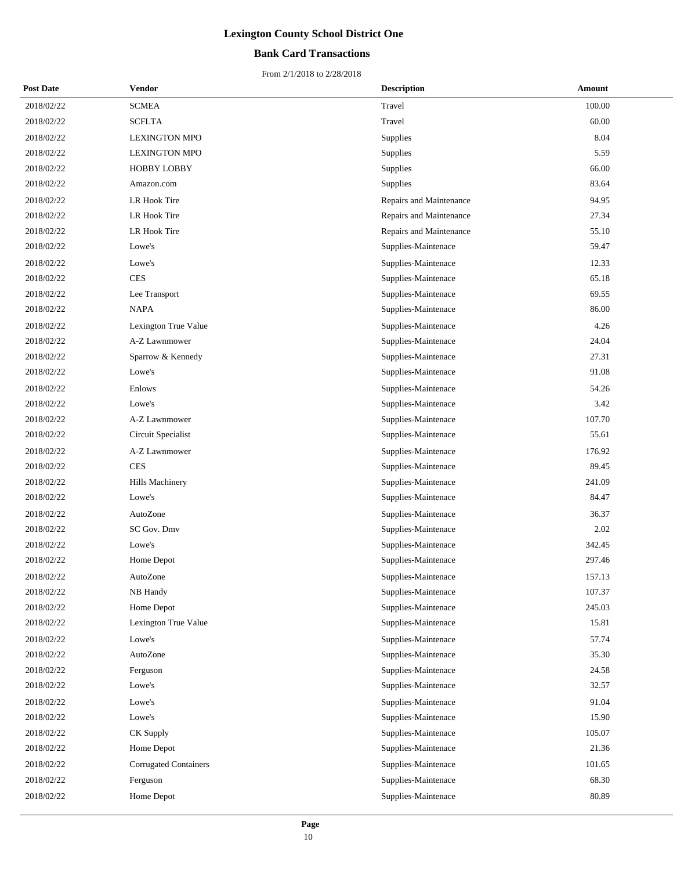## **Bank Card Transactions**

| <b>Post Date</b> | <b>Vendor</b>                | <b>Description</b>      | Amount |
|------------------|------------------------------|-------------------------|--------|
| 2018/02/22       | <b>SCMEA</b>                 | Travel                  | 100.00 |
| 2018/02/22       | <b>SCFLTA</b>                | Travel                  | 60.00  |
| 2018/02/22       | <b>LEXINGTON MPO</b>         | Supplies                | 8.04   |
| 2018/02/22       | <b>LEXINGTON MPO</b>         | Supplies                | 5.59   |
| 2018/02/22       | <b>HOBBY LOBBY</b>           | Supplies                | 66.00  |
| 2018/02/22       | Amazon.com                   | Supplies                | 83.64  |
| 2018/02/22       | LR Hook Tire                 | Repairs and Maintenance | 94.95  |
| 2018/02/22       | <b>LR Hook Tire</b>          | Repairs and Maintenance | 27.34  |
| 2018/02/22       | LR Hook Tire                 | Repairs and Maintenance | 55.10  |
| 2018/02/22       | Lowe's                       | Supplies-Maintenace     | 59.47  |
| 2018/02/22       | Lowe's                       | Supplies-Maintenace     | 12.33  |
| 2018/02/22       | <b>CES</b>                   | Supplies-Maintenace     | 65.18  |
| 2018/02/22       | Lee Transport                | Supplies-Maintenace     | 69.55  |
| 2018/02/22       | <b>NAPA</b>                  | Supplies-Maintenace     | 86.00  |
| 2018/02/22       | Lexington True Value         | Supplies-Maintenace     | 4.26   |
| 2018/02/22       | A-Z Lawnmower                | Supplies-Maintenace     | 24.04  |
| 2018/02/22       | Sparrow & Kennedy            | Supplies-Maintenace     | 27.31  |
| 2018/02/22       | Lowe's                       | Supplies-Maintenace     | 91.08  |
| 2018/02/22       | Enlows                       | Supplies-Maintenace     | 54.26  |
| 2018/02/22       | Lowe's                       | Supplies-Maintenace     | 3.42   |
| 2018/02/22       | A-Z Lawnmower                | Supplies-Maintenace     | 107.70 |
| 2018/02/22       | Circuit Specialist           | Supplies-Maintenace     | 55.61  |
| 2018/02/22       | A-Z Lawnmower                | Supplies-Maintenace     | 176.92 |
| 2018/02/22       | <b>CES</b>                   | Supplies-Maintenace     | 89.45  |
| 2018/02/22       | Hills Machinery              | Supplies-Maintenace     | 241.09 |
| 2018/02/22       | Lowe's                       | Supplies-Maintenace     | 84.47  |
| 2018/02/22       | AutoZone                     | Supplies-Maintenace     | 36.37  |
| 2018/02/22       | SC Gov. Dmv                  | Supplies-Maintenace     | 2.02   |
| 2018/02/22       | Lowe's                       | Supplies-Maintenace     | 342.45 |
| 2018/02/22       | Home Depot                   | Supplies-Maintenace     | 297.46 |
| 2018/02/22       | AutoZone                     | Supplies-Maintenace     | 157.13 |
| 2018/02/22       | NB Handy                     | Supplies-Maintenace     | 107.37 |
| 2018/02/22       | Home Depot                   | Supplies-Maintenace     | 245.03 |
| 2018/02/22       | Lexington True Value         | Supplies-Maintenace     | 15.81  |
| 2018/02/22       | Lowe's                       | Supplies-Maintenace     | 57.74  |
| 2018/02/22       | AutoZone                     | Supplies-Maintenace     | 35.30  |
| 2018/02/22       | Ferguson                     | Supplies-Maintenace     | 24.58  |
| 2018/02/22       | Lowe's                       | Supplies-Maintenace     | 32.57  |
| 2018/02/22       | Lowe's                       | Supplies-Maintenace     | 91.04  |
| 2018/02/22       | Lowe's                       | Supplies-Maintenace     | 15.90  |
| 2018/02/22       | CK Supply                    | Supplies-Maintenace     | 105.07 |
| 2018/02/22       | Home Depot                   | Supplies-Maintenace     | 21.36  |
| 2018/02/22       | <b>Corrugated Containers</b> | Supplies-Maintenace     | 101.65 |
| 2018/02/22       | Ferguson                     | Supplies-Maintenace     | 68.30  |
| 2018/02/22       | Home Depot                   | Supplies-Maintenace     | 80.89  |
|                  |                              |                         |        |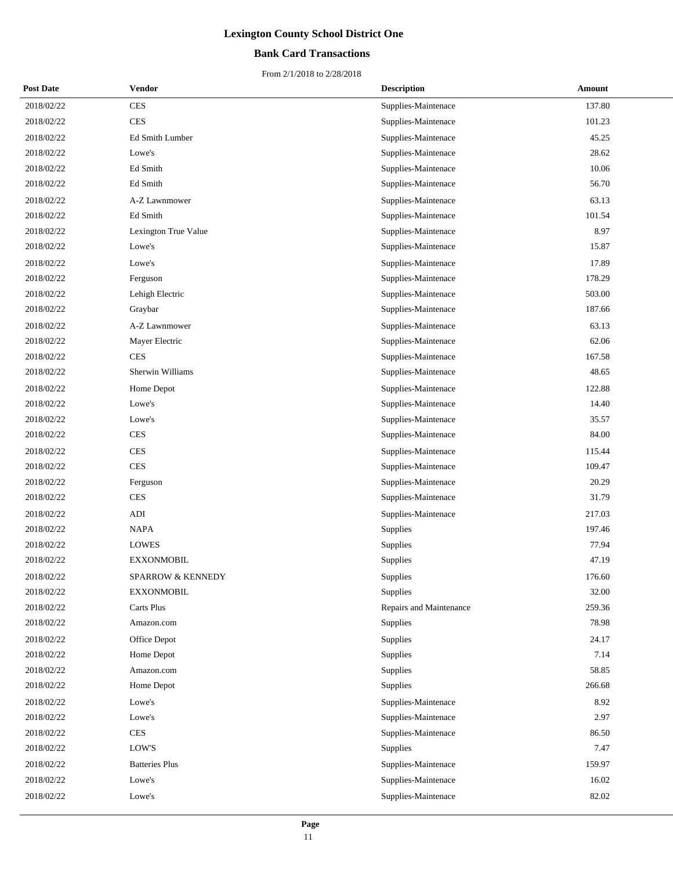## **Bank Card Transactions**

| <b>Post Date</b> | Vendor                       | <b>Description</b>      | Amount |
|------------------|------------------------------|-------------------------|--------|
| 2018/02/22       | <b>CES</b>                   | Supplies-Maintenace     | 137.80 |
| 2018/02/22       | <b>CES</b>                   | Supplies-Maintenace     | 101.23 |
| 2018/02/22       | Ed Smith Lumber              | Supplies-Maintenace     | 45.25  |
| 2018/02/22       | Lowe's                       | Supplies-Maintenace     | 28.62  |
| 2018/02/22       | Ed Smith                     | Supplies-Maintenace     | 10.06  |
| 2018/02/22       | Ed Smith                     | Supplies-Maintenace     | 56.70  |
| 2018/02/22       | A-Z Lawnmower                | Supplies-Maintenace     | 63.13  |
| 2018/02/22       | Ed Smith                     | Supplies-Maintenace     | 101.54 |
| 2018/02/22       | Lexington True Value         | Supplies-Maintenace     | 8.97   |
| 2018/02/22       | Lowe's                       | Supplies-Maintenace     | 15.87  |
| 2018/02/22       | Lowe's                       | Supplies-Maintenace     | 17.89  |
| 2018/02/22       | Ferguson                     | Supplies-Maintenace     | 178.29 |
| 2018/02/22       | Lehigh Electric              | Supplies-Maintenace     | 503.00 |
| 2018/02/22       | Graybar                      | Supplies-Maintenace     | 187.66 |
| 2018/02/22       | A-Z Lawnmower                | Supplies-Maintenace     | 63.13  |
| 2018/02/22       | Mayer Electric               | Supplies-Maintenace     | 62.06  |
| 2018/02/22       | <b>CES</b>                   | Supplies-Maintenace     | 167.58 |
| 2018/02/22       | Sherwin Williams             | Supplies-Maintenace     | 48.65  |
| 2018/02/22       | Home Depot                   | Supplies-Maintenace     | 122.88 |
| 2018/02/22       | Lowe's                       | Supplies-Maintenace     | 14.40  |
| 2018/02/22       | Lowe's                       | Supplies-Maintenace     | 35.57  |
| 2018/02/22       | <b>CES</b>                   | Supplies-Maintenace     | 84.00  |
| 2018/02/22       | <b>CES</b>                   | Supplies-Maintenace     | 115.44 |
| 2018/02/22       | <b>CES</b>                   | Supplies-Maintenace     | 109.47 |
| 2018/02/22       | Ferguson                     | Supplies-Maintenace     | 20.29  |
| 2018/02/22       | <b>CES</b>                   | Supplies-Maintenace     | 31.79  |
| 2018/02/22       | <b>ADI</b>                   | Supplies-Maintenace     | 217.03 |
| 2018/02/22       | <b>NAPA</b>                  | <b>Supplies</b>         | 197.46 |
| 2018/02/22       | <b>LOWES</b>                 | Supplies                | 77.94  |
| 2018/02/22       | <b>EXXONMOBIL</b>            | Supplies                | 47.19  |
| 2018/02/22       | <b>SPARROW &amp; KENNEDY</b> | Supplies                | 176.60 |
| 2018/02/22       | <b>EXXONMOBIL</b>            | Supplies                | 32.00  |
| 2018/02/22       | Carts Plus                   | Repairs and Maintenance | 259.36 |
| 2018/02/22       | Amazon.com                   | Supplies                | 78.98  |
| 2018/02/22       | Office Depot                 | Supplies                | 24.17  |
| 2018/02/22       | Home Depot                   | Supplies                | 7.14   |
| 2018/02/22       | Amazon.com                   | Supplies                | 58.85  |
| 2018/02/22       | Home Depot                   | Supplies                | 266.68 |
| 2018/02/22       | Lowe's                       | Supplies-Maintenace     | 8.92   |
| 2018/02/22       | Lowe's                       | Supplies-Maintenace     | 2.97   |
| 2018/02/22       | <b>CES</b>                   | Supplies-Maintenace     | 86.50  |
| 2018/02/22       | LOW'S                        | Supplies                | 7.47   |
| 2018/02/22       | <b>Batteries Plus</b>        | Supplies-Maintenace     | 159.97 |
| 2018/02/22       | Lowe's                       | Supplies-Maintenace     | 16.02  |
| 2018/02/22       | Lowe's                       | Supplies-Maintenace     | 82.02  |
|                  |                              |                         |        |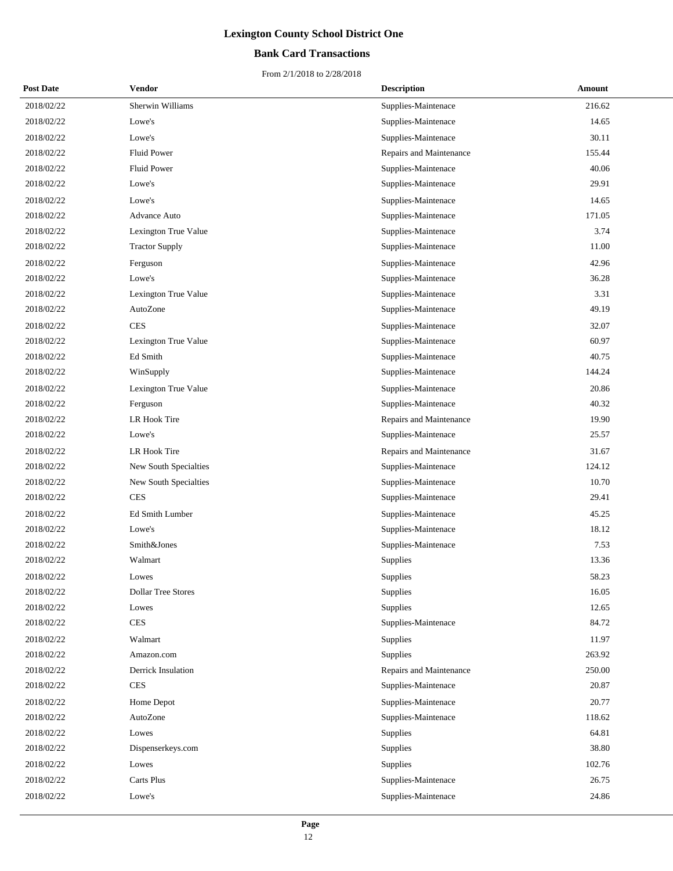## **Bank Card Transactions**

| <b>Post Date</b> | Vendor                    | <b>Description</b>      | Amount |
|------------------|---------------------------|-------------------------|--------|
| 2018/02/22       | Sherwin Williams          | Supplies-Maintenace     | 216.62 |
| 2018/02/22       | Lowe's                    | Supplies-Maintenace     | 14.65  |
| 2018/02/22       | Lowe's                    | Supplies-Maintenace     | 30.11  |
| 2018/02/22       | <b>Fluid Power</b>        | Repairs and Maintenance | 155.44 |
| 2018/02/22       | <b>Fluid Power</b>        | Supplies-Maintenace     | 40.06  |
| 2018/02/22       | Lowe's                    | Supplies-Maintenace     | 29.91  |
| 2018/02/22       | Lowe's                    | Supplies-Maintenace     | 14.65  |
| 2018/02/22       | <b>Advance Auto</b>       | Supplies-Maintenace     | 171.05 |
| 2018/02/22       | Lexington True Value      | Supplies-Maintenace     | 3.74   |
| 2018/02/22       | <b>Tractor Supply</b>     | Supplies-Maintenace     | 11.00  |
| 2018/02/22       | Ferguson                  | Supplies-Maintenace     | 42.96  |
| 2018/02/22       | Lowe's                    | Supplies-Maintenace     | 36.28  |
| 2018/02/22       | Lexington True Value      | Supplies-Maintenace     | 3.31   |
| 2018/02/22       | AutoZone                  | Supplies-Maintenace     | 49.19  |
| 2018/02/22       | <b>CES</b>                | Supplies-Maintenace     | 32.07  |
| 2018/02/22       | Lexington True Value      | Supplies-Maintenace     | 60.97  |
| 2018/02/22       | Ed Smith                  | Supplies-Maintenace     | 40.75  |
| 2018/02/22       | WinSupply                 | Supplies-Maintenace     | 144.24 |
| 2018/02/22       | Lexington True Value      | Supplies-Maintenace     | 20.86  |
| 2018/02/22       | Ferguson                  | Supplies-Maintenace     | 40.32  |
| 2018/02/22       | LR Hook Tire              | Repairs and Maintenance | 19.90  |
| 2018/02/22       | Lowe's                    | Supplies-Maintenace     | 25.57  |
| 2018/02/22       | LR Hook Tire              | Repairs and Maintenance | 31.67  |
| 2018/02/22       | New South Specialties     | Supplies-Maintenace     | 124.12 |
| 2018/02/22       | New South Specialties     | Supplies-Maintenace     | 10.70  |
| 2018/02/22       | <b>CES</b>                | Supplies-Maintenace     | 29.41  |
| 2018/02/22       | <b>Ed Smith Lumber</b>    | Supplies-Maintenace     | 45.25  |
| 2018/02/22       | Lowe's                    | Supplies-Maintenace     | 18.12  |
| 2018/02/22       | Smith&Jones               | Supplies-Maintenace     | 7.53   |
| 2018/02/22       | Walmart                   | Supplies                | 13.36  |
| 2018/02/22       | Lowes                     | Supplies                | 58.23  |
| 2018/02/22       | <b>Dollar Tree Stores</b> | Supplies                | 16.05  |
| 2018/02/22       | Lowes                     | Supplies                | 12.65  |
| 2018/02/22       | $\mbox{CES}$              | Supplies-Maintenace     | 84.72  |
| 2018/02/22       | Walmart                   | Supplies                | 11.97  |
| 2018/02/22       | Amazon.com                | Supplies                | 263.92 |
| 2018/02/22       | Derrick Insulation        | Repairs and Maintenance | 250.00 |
| 2018/02/22       | <b>CES</b>                | Supplies-Maintenace     | 20.87  |
| 2018/02/22       | Home Depot                | Supplies-Maintenace     | 20.77  |
| 2018/02/22       | AutoZone                  | Supplies-Maintenace     | 118.62 |
| 2018/02/22       | Lowes                     | Supplies                | 64.81  |
| 2018/02/22       | Dispenserkeys.com         | Supplies                | 38.80  |
| 2018/02/22       | Lowes                     | Supplies                | 102.76 |
| 2018/02/22       | Carts Plus                | Supplies-Maintenace     | 26.75  |
| 2018/02/22       | Lowe's                    | Supplies-Maintenace     | 24.86  |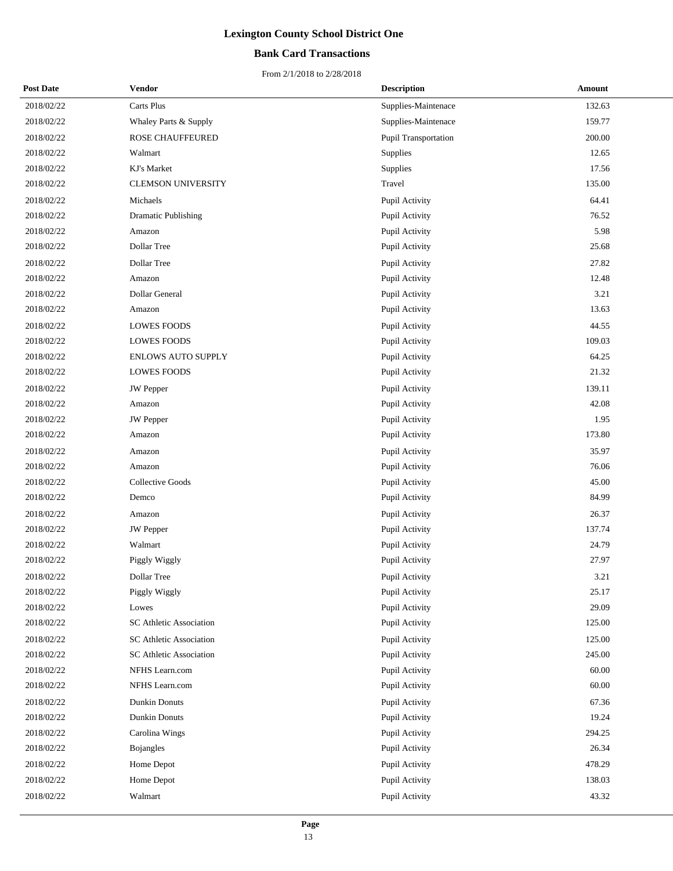## **Bank Card Transactions**

| <b>Post Date</b> | <b>Vendor</b>              | <b>Description</b>          | Amount |
|------------------|----------------------------|-----------------------------|--------|
| 2018/02/22       | <b>Carts Plus</b>          | Supplies-Maintenace         | 132.63 |
| 2018/02/22       | Whaley Parts & Supply      | Supplies-Maintenace         | 159.77 |
| 2018/02/22       | ROSE CHAUFFEURED           | <b>Pupil Transportation</b> | 200.00 |
| 2018/02/22       | Walmart                    | <b>Supplies</b>             | 12.65  |
| 2018/02/22       | KJ's Market                | Supplies                    | 17.56  |
| 2018/02/22       | <b>CLEMSON UNIVERSITY</b>  | Travel                      | 135.00 |
| 2018/02/22       | Michaels                   | Pupil Activity              | 64.41  |
| 2018/02/22       | <b>Dramatic Publishing</b> | Pupil Activity              | 76.52  |
| 2018/02/22       | Amazon                     | Pupil Activity              | 5.98   |
| 2018/02/22       | Dollar Tree                | Pupil Activity              | 25.68  |
| 2018/02/22       | Dollar Tree                | Pupil Activity              | 27.82  |
| 2018/02/22       | Amazon                     | Pupil Activity              | 12.48  |
| 2018/02/22       | Dollar General             | Pupil Activity              | 3.21   |
| 2018/02/22       | Amazon                     | Pupil Activity              | 13.63  |
| 2018/02/22       | <b>LOWES FOODS</b>         | Pupil Activity              | 44.55  |
| 2018/02/22       | <b>LOWES FOODS</b>         | Pupil Activity              | 109.03 |
| 2018/02/22       | <b>ENLOWS AUTO SUPPLY</b>  | Pupil Activity              | 64.25  |
| 2018/02/22       | <b>LOWES FOODS</b>         | Pupil Activity              | 21.32  |
| 2018/02/22       | <b>JW</b> Pepper           | Pupil Activity              | 139.11 |
| 2018/02/22       | Amazon                     | Pupil Activity              | 42.08  |
| 2018/02/22       | <b>JW</b> Pepper           | Pupil Activity              | 1.95   |
| 2018/02/22       | Amazon                     | Pupil Activity              | 173.80 |
| 2018/02/22       | Amazon                     | Pupil Activity              | 35.97  |
| 2018/02/22       | Amazon                     | Pupil Activity              | 76.06  |
| 2018/02/22       | Collective Goods           | Pupil Activity              | 45.00  |
| 2018/02/22       | Demco                      | Pupil Activity              | 84.99  |
| 2018/02/22       | Amazon                     | Pupil Activity              | 26.37  |
| 2018/02/22       | <b>JW</b> Pepper           | Pupil Activity              | 137.74 |
| 2018/02/22       | Walmart                    | Pupil Activity              | 24.79  |
| 2018/02/22       | Piggly Wiggly              | Pupil Activity              | 27.97  |
| 2018/02/22       | Dollar Tree                | Pupil Activity              | 3.21   |
| 2018/02/22       | Piggly Wiggly              | Pupil Activity              | 25.17  |
| 2018/02/22       | Lowes                      | Pupil Activity              | 29.09  |
| 2018/02/22       | SC Athletic Association    | Pupil Activity              | 125.00 |
| 2018/02/22       | SC Athletic Association    | Pupil Activity              | 125.00 |
| 2018/02/22       | SC Athletic Association    | Pupil Activity              | 245.00 |
| 2018/02/22       | NFHS Learn.com             | Pupil Activity              | 60.00  |
| 2018/02/22       | NFHS Learn.com             | Pupil Activity              | 60.00  |
| 2018/02/22       | Dunkin Donuts              | Pupil Activity              | 67.36  |
| 2018/02/22       | <b>Dunkin Donuts</b>       | Pupil Activity              | 19.24  |
| 2018/02/22       | Carolina Wings             | Pupil Activity              | 294.25 |
| 2018/02/22       | Bojangles                  | Pupil Activity              | 26.34  |
| 2018/02/22       | Home Depot                 | Pupil Activity              | 478.29 |
| 2018/02/22       | Home Depot                 | Pupil Activity              | 138.03 |
| 2018/02/22       | Walmart                    | Pupil Activity              | 43.32  |
|                  |                            |                             |        |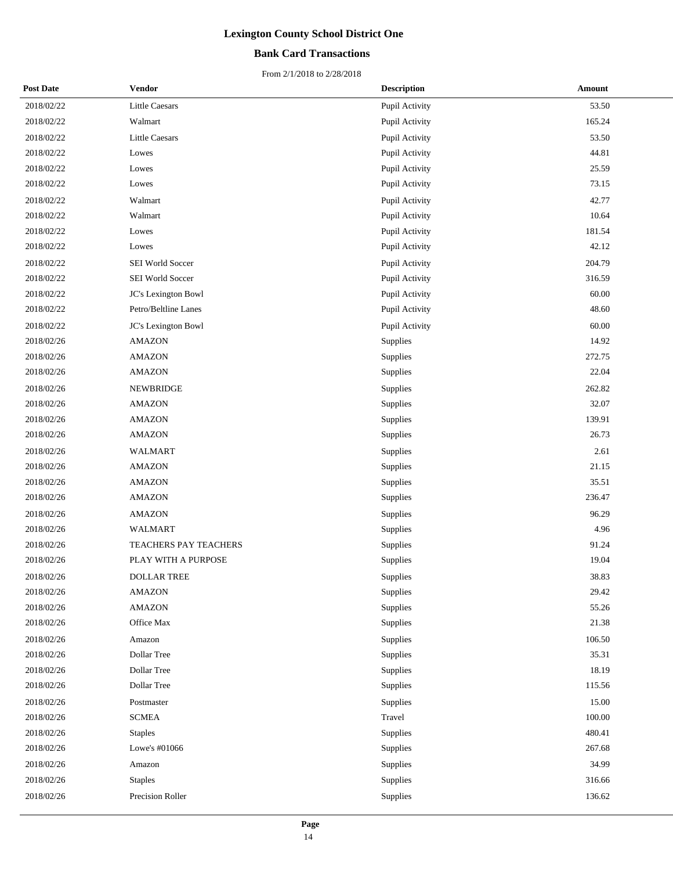## **Bank Card Transactions**

| <b>Post Date</b> | Vendor                | <b>Description</b> | Amount |
|------------------|-----------------------|--------------------|--------|
| 2018/02/22       | <b>Little Caesars</b> | Pupil Activity     | 53.50  |
| 2018/02/22       | Walmart               | Pupil Activity     | 165.24 |
| 2018/02/22       | <b>Little Caesars</b> | Pupil Activity     | 53.50  |
| 2018/02/22       | Lowes                 | Pupil Activity     | 44.81  |
| 2018/02/22       | Lowes                 | Pupil Activity     | 25.59  |
| 2018/02/22       | Lowes                 | Pupil Activity     | 73.15  |
| 2018/02/22       | Walmart               | Pupil Activity     | 42.77  |
| 2018/02/22       | Walmart               | Pupil Activity     | 10.64  |
| 2018/02/22       | Lowes                 | Pupil Activity     | 181.54 |
| 2018/02/22       | Lowes                 | Pupil Activity     | 42.12  |
| 2018/02/22       | SEI World Soccer      | Pupil Activity     | 204.79 |
| 2018/02/22       | SEI World Soccer      | Pupil Activity     | 316.59 |
| 2018/02/22       | JC's Lexington Bowl   | Pupil Activity     | 60.00  |
| 2018/02/22       | Petro/Beltline Lanes  | Pupil Activity     | 48.60  |
| 2018/02/22       | JC's Lexington Bowl   | Pupil Activity     | 60.00  |
| 2018/02/26       | <b>AMAZON</b>         | Supplies           | 14.92  |
| 2018/02/26       | <b>AMAZON</b>         | Supplies           | 272.75 |
| 2018/02/26       | <b>AMAZON</b>         | Supplies           | 22.04  |
| 2018/02/26       | <b>NEWBRIDGE</b>      | Supplies           | 262.82 |
| 2018/02/26       | <b>AMAZON</b>         | <b>Supplies</b>    | 32.07  |
| 2018/02/26       | <b>AMAZON</b>         | Supplies           | 139.91 |
| 2018/02/26       | <b>AMAZON</b>         | Supplies           | 26.73  |
| 2018/02/26       | WALMART               | Supplies           | 2.61   |
| 2018/02/26       | <b>AMAZON</b>         | Supplies           | 21.15  |
| 2018/02/26       | <b>AMAZON</b>         | Supplies           | 35.51  |
| 2018/02/26       | <b>AMAZON</b>         | Supplies           | 236.47 |
| 2018/02/26       | <b>AMAZON</b>         | Supplies           | 96.29  |
| 2018/02/26       | <b>WALMART</b>        | Supplies           | 4.96   |
| 2018/02/26       | TEACHERS PAY TEACHERS | Supplies           | 91.24  |
| 2018/02/26       | PLAY WITH A PURPOSE   | Supplies           | 19.04  |
| 2018/02/26       | <b>DOLLAR TREE</b>    | Supplies           | 38.83  |
| 2018/02/26       | <b>AMAZON</b>         | Supplies           | 29.42  |
| 2018/02/26       | <b>AMAZON</b>         | Supplies           | 55.26  |
| 2018/02/26       | Office Max            | Supplies           | 21.38  |
| 2018/02/26       | Amazon                | Supplies           | 106.50 |
| 2018/02/26       | Dollar Tree           | Supplies           | 35.31  |
| 2018/02/26       | Dollar Tree           | Supplies           | 18.19  |
| 2018/02/26       | Dollar Tree           | Supplies           | 115.56 |
| 2018/02/26       | Postmaster            | Supplies           | 15.00  |
| 2018/02/26       | <b>SCMEA</b>          | Travel             | 100.00 |
| 2018/02/26       | <b>Staples</b>        | Supplies           | 480.41 |
| 2018/02/26       | Lowe's #01066         | Supplies           | 267.68 |
| 2018/02/26       | Amazon                | Supplies           | 34.99  |
| 2018/02/26       | <b>Staples</b>        | Supplies           | 316.66 |
| 2018/02/26       | Precision Roller      | Supplies           | 136.62 |
|                  |                       |                    |        |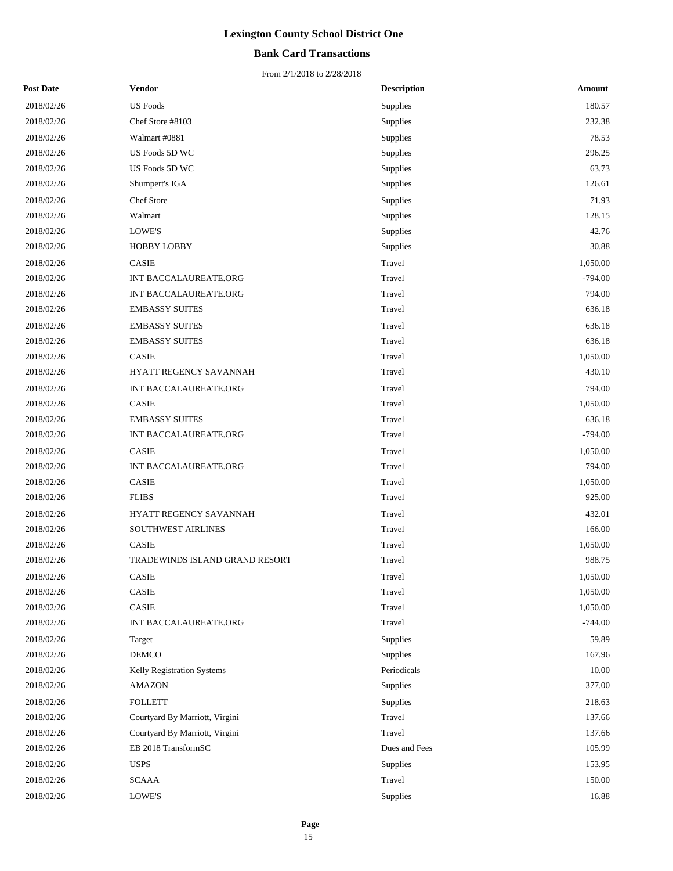## **Bank Card Transactions**

| <b>Post Date</b> | <b>Vendor</b>                  | <b>Description</b> | Amount    |
|------------------|--------------------------------|--------------------|-----------|
| 2018/02/26       | <b>US</b> Foods                | Supplies           | 180.57    |
| 2018/02/26       | Chef Store #8103               | Supplies           | 232.38    |
| 2018/02/26       | Walmart #0881                  | Supplies           | 78.53     |
| 2018/02/26       | US Foods 5D WC                 | Supplies           | 296.25    |
| 2018/02/26       | US Foods 5D WC                 | Supplies           | 63.73     |
| 2018/02/26       | Shumpert's IGA                 | Supplies           | 126.61    |
| 2018/02/26       | Chef Store                     | Supplies           | 71.93     |
| 2018/02/26       | Walmart                        | Supplies           | 128.15    |
| 2018/02/26       | <b>LOWE'S</b>                  | Supplies           | 42.76     |
| 2018/02/26       | <b>HOBBY LOBBY</b>             | Supplies           | 30.88     |
| 2018/02/26       | CASIE                          | Travel             | 1,050.00  |
| 2018/02/26       | INT BACCALAUREATE.ORG          | Travel             | $-794.00$ |
| 2018/02/26       | INT BACCALAUREATE.ORG          | Travel             | 794.00    |
| 2018/02/26       | <b>EMBASSY SUITES</b>          | Travel             | 636.18    |
| 2018/02/26       | <b>EMBASSY SUITES</b>          | Travel             | 636.18    |
| 2018/02/26       | <b>EMBASSY SUITES</b>          | Travel             | 636.18    |
| 2018/02/26       | CASIE                          | Travel             | 1,050.00  |
| 2018/02/26       | HYATT REGENCY SAVANNAH         | Travel             | 430.10    |
| 2018/02/26       | INT BACCALAUREATE.ORG          | Travel             | 794.00    |
| 2018/02/26       | <b>CASIE</b>                   | Travel             | 1,050.00  |
| 2018/02/26       | <b>EMBASSY SUITES</b>          | Travel             | 636.18    |
| 2018/02/26       | INT BACCALAUREATE.ORG          | Travel             | $-794.00$ |
| 2018/02/26       | CASIE                          | Travel             | 1,050.00  |
| 2018/02/26       | INT BACCALAUREATE.ORG          | Travel             | 794.00    |
| 2018/02/26       | CASIE                          | Travel             | 1,050.00  |
| 2018/02/26       | <b>FLIBS</b>                   | Travel             | 925.00    |
| 2018/02/26       | HYATT REGENCY SAVANNAH         | Travel             | 432.01    |
| 2018/02/26       | SOUTHWEST AIRLINES             | Travel             | 166.00    |
| 2018/02/26       | CASIE                          | Travel             | 1,050.00  |
| 2018/02/26       | TRADEWINDS ISLAND GRAND RESORT | Travel             | 988.75    |
| 2018/02/26       | CASIE                          | Travel             | 1,050.00  |
| 2018/02/26       | CASIE                          | Travel             | 1,050.00  |
| 2018/02/26       | CASIE                          | Travel             | 1,050.00  |
| 2018/02/26       | INT BACCALAUREATE.ORG          | Travel             | $-744.00$ |
| 2018/02/26       | Target                         | Supplies           | 59.89     |
| 2018/02/26       | <b>DEMCO</b>                   | Supplies           | 167.96    |
| 2018/02/26       | Kelly Registration Systems     | Periodicals        | 10.00     |
| 2018/02/26       | <b>AMAZON</b>                  | Supplies           | 377.00    |
| 2018/02/26       | <b>FOLLETT</b>                 | Supplies           | 218.63    |
| 2018/02/26       | Courtyard By Marriott, Virgini | Travel             | 137.66    |
| 2018/02/26       | Courtyard By Marriott, Virgini | Travel             | 137.66    |
| 2018/02/26       | EB 2018 TransformSC            | Dues and Fees      | 105.99    |
| 2018/02/26       | <b>USPS</b>                    | Supplies           | 153.95    |
| 2018/02/26       | <b>SCAAA</b>                   | Travel             | 150.00    |
| 2018/02/26       | LOWE'S                         | Supplies           | 16.88     |
|                  |                                |                    |           |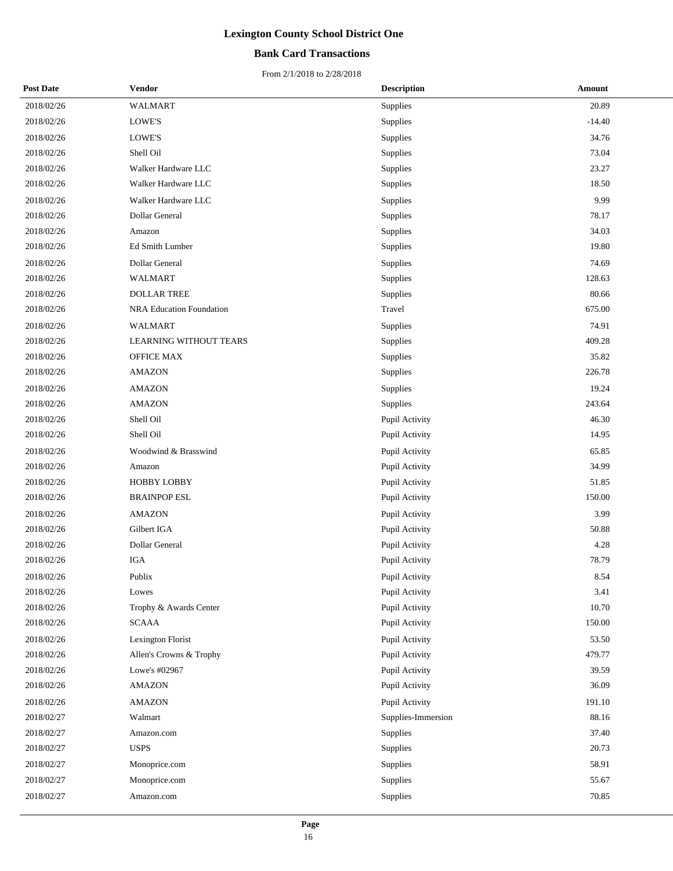## **Bank Card Transactions**

| <b>Post Date</b> | Vendor                        | <b>Description</b> | Amount   |
|------------------|-------------------------------|--------------------|----------|
| 2018/02/26       | <b>WALMART</b>                | Supplies           | 20.89    |
| 2018/02/26       | LOWE'S                        | Supplies           | $-14.40$ |
| 2018/02/26       | LOWE'S                        | Supplies           | 34.76    |
| 2018/02/26       | Shell Oil                     | Supplies           | 73.04    |
| 2018/02/26       | Walker Hardware LLC           | Supplies           | 23.27    |
| 2018/02/26       | Walker Hardware LLC           | Supplies           | 18.50    |
| 2018/02/26       | Walker Hardware LLC           | Supplies           | 9.99     |
| 2018/02/26       | Dollar General                | Supplies           | 78.17    |
| 2018/02/26       | Amazon                        | Supplies           | 34.03    |
| 2018/02/26       | Ed Smith Lumber               | Supplies           | 19.80    |
| 2018/02/26       | Dollar General                | Supplies           | 74.69    |
| 2018/02/26       | <b>WALMART</b>                | Supplies           | 128.63   |
| 2018/02/26       | <b>DOLLAR TREE</b>            | Supplies           | 80.66    |
| 2018/02/26       | NRA Education Foundation      | Travel             | 675.00   |
| 2018/02/26       | <b>WALMART</b>                | Supplies           | 74.91    |
| 2018/02/26       | <b>LEARNING WITHOUT TEARS</b> | Supplies           | 409.28   |
| 2018/02/26       | OFFICE MAX                    | Supplies           | 35.82    |
| 2018/02/26       | <b>AMAZON</b>                 | Supplies           | 226.78   |
| 2018/02/26       | <b>AMAZON</b>                 | Supplies           | 19.24    |
| 2018/02/26       | <b>AMAZON</b>                 | Supplies           | 243.64   |
| 2018/02/26       | Shell Oil                     | Pupil Activity     | 46.30    |
| 2018/02/26       | Shell Oil                     | Pupil Activity     | 14.95    |
| 2018/02/26       | Woodwind & Brasswind          | Pupil Activity     | 65.85    |
| 2018/02/26       | Amazon                        | Pupil Activity     | 34.99    |
| 2018/02/26       | <b>HOBBY LOBBY</b>            | Pupil Activity     | 51.85    |
| 2018/02/26       | <b>BRAINPOP ESL</b>           | Pupil Activity     | 150.00   |
| 2018/02/26       | <b>AMAZON</b>                 | Pupil Activity     | 3.99     |
| 2018/02/26       | Gilbert IGA                   | Pupil Activity     | 50.88    |
| 2018/02/26       | Dollar General                | Pupil Activity     | 4.28     |
| 2018/02/26       | <b>IGA</b>                    | Pupil Activity     | 78.79    |
| 2018/02/26       | Publix                        | Pupil Activity     | 8.54     |
| 2018/02/26       | Lowes                         | Pupil Activity     | 3.41     |
| 2018/02/26       | Trophy & Awards Center        | Pupil Activity     | 10.70    |
| 2018/02/26       | $\operatorname{SCAAA}$        | Pupil Activity     | 150.00   |
| 2018/02/26       | Lexington Florist             | Pupil Activity     | 53.50    |
| 2018/02/26       | Allen's Crowns & Trophy       | Pupil Activity     | 479.77   |
| 2018/02/26       | Lowe's #02967                 | Pupil Activity     | 39.59    |
| 2018/02/26       | <b>AMAZON</b>                 | Pupil Activity     | 36.09    |
| 2018/02/26       | <b>AMAZON</b>                 | Pupil Activity     | 191.10   |
| 2018/02/27       | Walmart                       | Supplies-Immersion | 88.16    |
| 2018/02/27       | Amazon.com                    | Supplies           | 37.40    |
| 2018/02/27       | <b>USPS</b>                   | Supplies           | 20.73    |
| 2018/02/27       | Monoprice.com                 | Supplies           | 58.91    |
| 2018/02/27       | Monoprice.com                 | Supplies           | 55.67    |
| 2018/02/27       | Amazon.com                    | Supplies           | 70.85    |
|                  |                               |                    |          |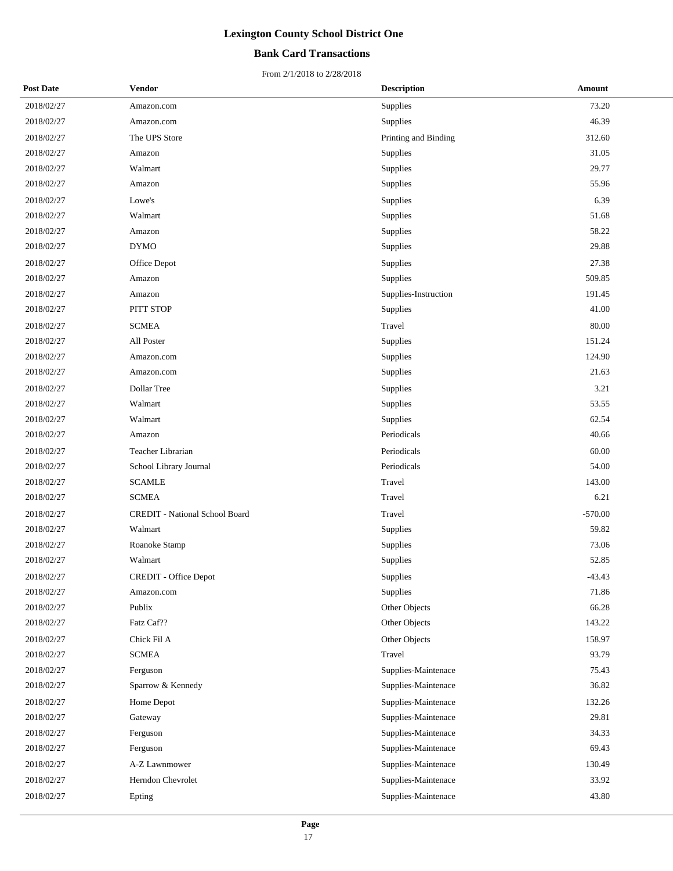## **Bank Card Transactions**

| <b>Post Date</b> | Vendor                                | <b>Description</b>   | Amount    |
|------------------|---------------------------------------|----------------------|-----------|
| 2018/02/27       | Amazon.com                            | Supplies             | 73.20     |
| 2018/02/27       | Amazon.com                            | Supplies             | 46.39     |
| 2018/02/27       | The UPS Store                         | Printing and Binding | 312.60    |
| 2018/02/27       | Amazon                                | Supplies             | 31.05     |
| 2018/02/27       | Walmart                               | Supplies             | 29.77     |
| 2018/02/27       | Amazon                                | Supplies             | 55.96     |
| 2018/02/27       | Lowe's                                | Supplies             | 6.39      |
| 2018/02/27       | Walmart                               | Supplies             | 51.68     |
| 2018/02/27       | Amazon                                | Supplies             | 58.22     |
| 2018/02/27       | <b>DYMO</b>                           | Supplies             | 29.88     |
| 2018/02/27       | Office Depot                          | Supplies             | 27.38     |
| 2018/02/27       | Amazon                                | Supplies             | 509.85    |
| 2018/02/27       | Amazon                                | Supplies-Instruction | 191.45    |
| 2018/02/27       | PITT STOP                             | Supplies             | 41.00     |
| 2018/02/27       | <b>SCMEA</b>                          | Travel               | 80.00     |
| 2018/02/27       | All Poster                            | Supplies             | 151.24    |
| 2018/02/27       | Amazon.com                            | Supplies             | 124.90    |
| 2018/02/27       | Amazon.com                            | Supplies             | 21.63     |
| 2018/02/27       | Dollar Tree                           | Supplies             | 3.21      |
| 2018/02/27       | Walmart                               | Supplies             | 53.55     |
| 2018/02/27       | Walmart                               | Supplies             | 62.54     |
| 2018/02/27       | Amazon                                | Periodicals          | 40.66     |
| 2018/02/27       | Teacher Librarian                     | Periodicals          | 60.00     |
| 2018/02/27       | School Library Journal                | Periodicals          | 54.00     |
| 2018/02/27       | <b>SCAMLE</b>                         | Travel               | 143.00    |
| 2018/02/27       | <b>SCMEA</b>                          | Travel               | 6.21      |
| 2018/02/27       | <b>CREDIT</b> - National School Board | Travel               | $-570.00$ |
| 2018/02/27       | Walmart                               | Supplies             | 59.82     |
| 2018/02/27       | Roanoke Stamp                         | Supplies             | 73.06     |
| 2018/02/27       | Walmart                               | Supplies             | 52.85     |
| 2018/02/27       | <b>CREDIT</b> - Office Depot          | Supplies             | $-43.43$  |
| 2018/02/27       | Amazon.com                            | Supplies             | 71.86     |
| 2018/02/27       | Publix                                | Other Objects        | 66.28     |
| 2018/02/27       | Fatz Caf??                            | Other Objects        | 143.22    |
| 2018/02/27       | Chick Fil A                           | Other Objects        | 158.97    |
| 2018/02/27       | <b>SCMEA</b>                          | Travel               | 93.79     |
| 2018/02/27       | Ferguson                              | Supplies-Maintenace  | 75.43     |
| 2018/02/27       | Sparrow & Kennedy                     | Supplies-Maintenace  | 36.82     |
| 2018/02/27       | Home Depot                            | Supplies-Maintenace  | 132.26    |
| 2018/02/27       | Gateway                               | Supplies-Maintenace  | 29.81     |
| 2018/02/27       | Ferguson                              | Supplies-Maintenace  | 34.33     |
| 2018/02/27       | Ferguson                              | Supplies-Maintenace  | 69.43     |
| 2018/02/27       | A-Z Lawnmower                         | Supplies-Maintenace  | 130.49    |
| 2018/02/27       | Herndon Chevrolet                     | Supplies-Maintenace  | 33.92     |
| 2018/02/27       | Epting                                | Supplies-Maintenace  | 43.80     |
|                  |                                       |                      |           |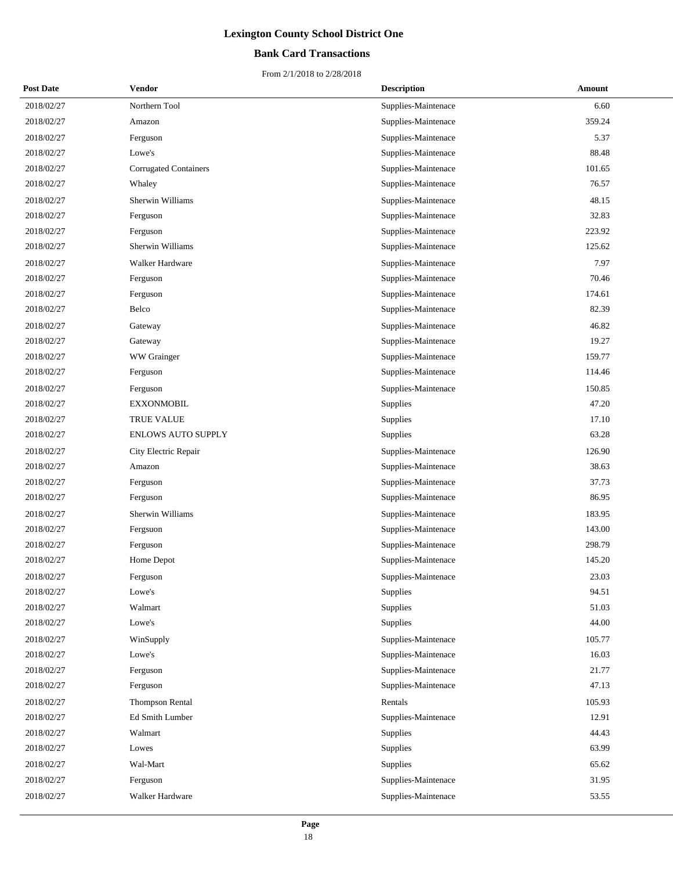## **Bank Card Transactions**

| <b>Post Date</b> | Vendor                       | <b>Description</b>  | Amount |
|------------------|------------------------------|---------------------|--------|
| 2018/02/27       | Northern Tool                | Supplies-Maintenace | 6.60   |
| 2018/02/27       | Amazon                       | Supplies-Maintenace | 359.24 |
| 2018/02/27       | Ferguson                     | Supplies-Maintenace | 5.37   |
| 2018/02/27       | Lowe's                       | Supplies-Maintenace | 88.48  |
| 2018/02/27       | <b>Corrugated Containers</b> | Supplies-Maintenace | 101.65 |
| 2018/02/27       | Whaley                       | Supplies-Maintenace | 76.57  |
| 2018/02/27       | Sherwin Williams             | Supplies-Maintenace | 48.15  |
| 2018/02/27       | Ferguson                     | Supplies-Maintenace | 32.83  |
| 2018/02/27       | Ferguson                     | Supplies-Maintenace | 223.92 |
| 2018/02/27       | Sherwin Williams             | Supplies-Maintenace | 125.62 |
| 2018/02/27       | Walker Hardware              | Supplies-Maintenace | 7.97   |
| 2018/02/27       | Ferguson                     | Supplies-Maintenace | 70.46  |
| 2018/02/27       | Ferguson                     | Supplies-Maintenace | 174.61 |
| 2018/02/27       | Belco                        | Supplies-Maintenace | 82.39  |
| 2018/02/27       | Gateway                      | Supplies-Maintenace | 46.82  |
| 2018/02/27       | Gateway                      | Supplies-Maintenace | 19.27  |
| 2018/02/27       | WW Grainger                  | Supplies-Maintenace | 159.77 |
| 2018/02/27       | Ferguson                     | Supplies-Maintenace | 114.46 |
| 2018/02/27       | Ferguson                     | Supplies-Maintenace | 150.85 |
| 2018/02/27       | <b>EXXONMOBIL</b>            | Supplies            | 47.20  |
| 2018/02/27       | TRUE VALUE                   | Supplies            | 17.10  |
| 2018/02/27       | <b>ENLOWS AUTO SUPPLY</b>    | Supplies            | 63.28  |
| 2018/02/27       | City Electric Repair         | Supplies-Maintenace | 126.90 |
| 2018/02/27       | Amazon                       | Supplies-Maintenace | 38.63  |
| 2018/02/27       | Ferguson                     | Supplies-Maintenace | 37.73  |
| 2018/02/27       | Ferguson                     | Supplies-Maintenace | 86.95  |
| 2018/02/27       | Sherwin Williams             | Supplies-Maintenace | 183.95 |
| 2018/02/27       | Fergsuon                     | Supplies-Maintenace | 143.00 |
| 2018/02/27       | Ferguson                     | Supplies-Maintenace | 298.79 |
| 2018/02/27       | Home Depot                   | Supplies-Maintenace | 145.20 |
| 2018/02/27       | Ferguson                     | Supplies-Maintenace | 23.03  |
| 2018/02/27       | Lowe's                       | Supplies            | 94.51  |
| 2018/02/27       | Walmart                      | Supplies            | 51.03  |
| 2018/02/27       | Lowe's                       | Supplies            | 44.00  |
| 2018/02/27       | WinSupply                    | Supplies-Maintenace | 105.77 |
| 2018/02/27       | Lowe's                       | Supplies-Maintenace | 16.03  |
| 2018/02/27       | Ferguson                     | Supplies-Maintenace | 21.77  |
| 2018/02/27       | Ferguson                     | Supplies-Maintenace | 47.13  |
| 2018/02/27       | Thompson Rental              | Rentals             | 105.93 |
| 2018/02/27       | Ed Smith Lumber              | Supplies-Maintenace | 12.91  |
| 2018/02/27       | Walmart                      | Supplies            | 44.43  |
| 2018/02/27       | Lowes                        | Supplies            | 63.99  |
| 2018/02/27       | Wal-Mart                     | Supplies            | 65.62  |
| 2018/02/27       | Ferguson                     | Supplies-Maintenace | 31.95  |
| 2018/02/27       | Walker Hardware              | Supplies-Maintenace | 53.55  |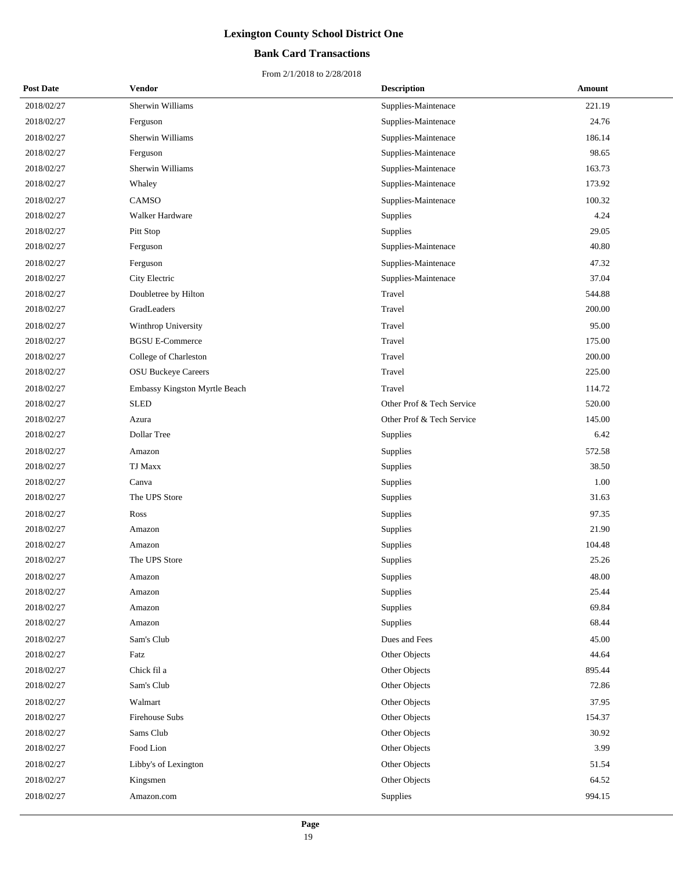## **Bank Card Transactions**

| <b>Post Date</b> | Vendor                        | <b>Description</b>        | Amount |
|------------------|-------------------------------|---------------------------|--------|
| 2018/02/27       | Sherwin Williams              | Supplies-Maintenace       | 221.19 |
| 2018/02/27       | Ferguson                      | Supplies-Maintenace       | 24.76  |
| 2018/02/27       | Sherwin Williams              | Supplies-Maintenace       | 186.14 |
| 2018/02/27       | Ferguson                      | Supplies-Maintenace       | 98.65  |
| 2018/02/27       | Sherwin Williams              | Supplies-Maintenace       | 163.73 |
| 2018/02/27       | Whaley                        | Supplies-Maintenace       | 173.92 |
| 2018/02/27       | CAMSO                         | Supplies-Maintenace       | 100.32 |
| 2018/02/27       | Walker Hardware               | Supplies                  | 4.24   |
| 2018/02/27       | Pitt Stop                     | Supplies                  | 29.05  |
| 2018/02/27       | Ferguson                      | Supplies-Maintenace       | 40.80  |
| 2018/02/27       | Ferguson                      | Supplies-Maintenace       | 47.32  |
| 2018/02/27       | City Electric                 | Supplies-Maintenace       | 37.04  |
| 2018/02/27       | Doubletree by Hilton          | Travel                    | 544.88 |
| 2018/02/27       | GradLeaders                   | Travel                    | 200.00 |
| 2018/02/27       | Winthrop University           | Travel                    | 95.00  |
| 2018/02/27       | <b>BGSU E-Commerce</b>        | Travel                    | 175.00 |
| 2018/02/27       | College of Charleston         | Travel                    | 200.00 |
| 2018/02/27       | <b>OSU Buckeye Careers</b>    | Travel                    | 225.00 |
| 2018/02/27       | Embassy Kingston Myrtle Beach | Travel                    | 114.72 |
| 2018/02/27       | <b>SLED</b>                   | Other Prof & Tech Service | 520.00 |
| 2018/02/27       | Azura                         | Other Prof & Tech Service | 145.00 |
| 2018/02/27       | Dollar Tree                   | Supplies                  | 6.42   |
| 2018/02/27       | Amazon                        | Supplies                  | 572.58 |
| 2018/02/27       | <b>TJ Maxx</b>                | Supplies                  | 38.50  |
| 2018/02/27       | Canva                         | Supplies                  | 1.00   |
| 2018/02/27       | The UPS Store                 | Supplies                  | 31.63  |
| 2018/02/27       | Ross                          | Supplies                  | 97.35  |
| 2018/02/27       | Amazon                        | Supplies                  | 21.90  |
| 2018/02/27       | Amazon                        | Supplies                  | 104.48 |
| 2018/02/27       | The UPS Store                 | Supplies                  | 25.26  |
| 2018/02/27       | Amazon                        | Supplies                  | 48.00  |
| 2018/02/27       | Amazon                        | Supplies                  | 25.44  |
| 2018/02/27       | Amazon                        | Supplies                  | 69.84  |
| 2018/02/27       | Amazon                        | Supplies                  | 68.44  |
| 2018/02/27       | Sam's Club                    | Dues and Fees             | 45.00  |
| 2018/02/27       | Fatz                          | Other Objects             | 44.64  |
| 2018/02/27       | Chick fil a                   | Other Objects             | 895.44 |
| 2018/02/27       | Sam's Club                    | Other Objects             | 72.86  |
| 2018/02/27       | Walmart                       | Other Objects             | 37.95  |
| 2018/02/27       | <b>Firehouse Subs</b>         | Other Objects             | 154.37 |
| 2018/02/27       | Sams Club                     | Other Objects             | 30.92  |
| 2018/02/27       | Food Lion                     | Other Objects             | 3.99   |
| 2018/02/27       | Libby's of Lexington          | Other Objects             | 51.54  |
| 2018/02/27       | Kingsmen                      | Other Objects             | 64.52  |
| 2018/02/27       | Amazon.com                    | Supplies                  | 994.15 |
|                  |                               |                           |        |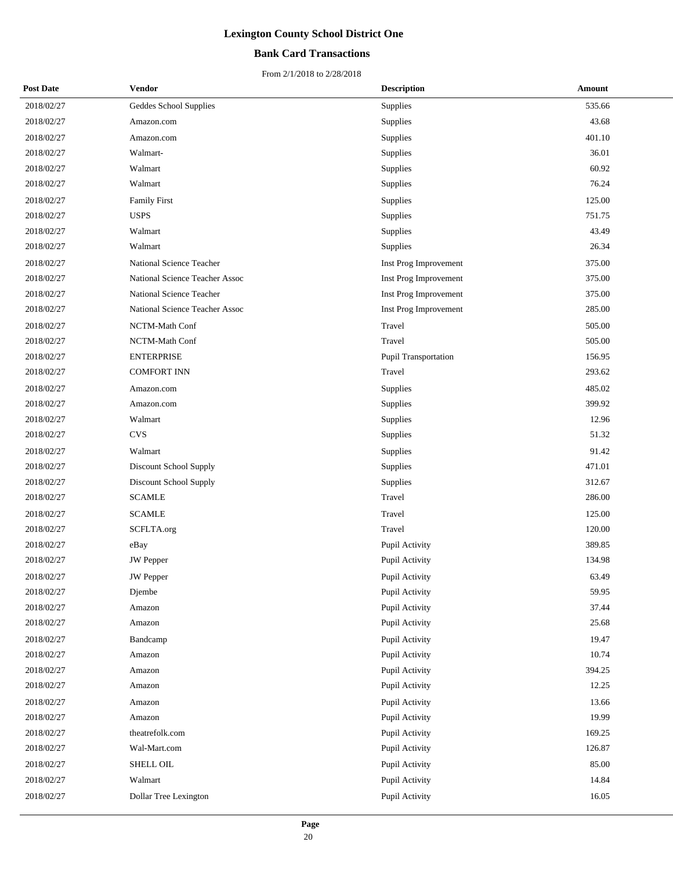## **Bank Card Transactions**

| <b>Post Date</b> | Vendor                         | <b>Description</b>          | Amount |
|------------------|--------------------------------|-----------------------------|--------|
| 2018/02/27       | Geddes School Supplies         | Supplies                    | 535.66 |
| 2018/02/27       | Amazon.com                     | Supplies                    | 43.68  |
| 2018/02/27       | Amazon.com                     | Supplies                    | 401.10 |
| 2018/02/27       | Walmart-                       | Supplies                    | 36.01  |
| 2018/02/27       | Walmart                        | Supplies                    | 60.92  |
| 2018/02/27       | Walmart                        | Supplies                    | 76.24  |
| 2018/02/27       | <b>Family First</b>            | Supplies                    | 125.00 |
| 2018/02/27       | <b>USPS</b>                    | Supplies                    | 751.75 |
| 2018/02/27       | Walmart                        | Supplies                    | 43.49  |
| 2018/02/27       | Walmart                        | Supplies                    | 26.34  |
| 2018/02/27       | National Science Teacher       | Inst Prog Improvement       | 375.00 |
| 2018/02/27       | National Science Teacher Assoc | Inst Prog Improvement       | 375.00 |
| 2018/02/27       | National Science Teacher       | Inst Prog Improvement       | 375.00 |
| 2018/02/27       | National Science Teacher Assoc | Inst Prog Improvement       | 285.00 |
| 2018/02/27       | NCTM-Math Conf                 | Travel                      | 505.00 |
| 2018/02/27       | NCTM-Math Conf                 | Travel                      | 505.00 |
| 2018/02/27       | <b>ENTERPRISE</b>              | <b>Pupil Transportation</b> | 156.95 |
| 2018/02/27       | <b>COMFORT INN</b>             | Travel                      | 293.62 |
| 2018/02/27       | Amazon.com                     | Supplies                    | 485.02 |
| 2018/02/27       | Amazon.com                     | Supplies                    | 399.92 |
| 2018/02/27       | Walmart                        | Supplies                    | 12.96  |
| 2018/02/27       | <b>CVS</b>                     | Supplies                    | 51.32  |
| 2018/02/27       | Walmart                        | Supplies                    | 91.42  |
| 2018/02/27       | Discount School Supply         | Supplies                    | 471.01 |
| 2018/02/27       | Discount School Supply         | Supplies                    | 312.67 |
| 2018/02/27       | <b>SCAMLE</b>                  | Travel                      | 286.00 |
| 2018/02/27       | <b>SCAMLE</b>                  | Travel                      | 125.00 |
| 2018/02/27       | SCFLTA.org                     | Travel                      | 120.00 |
| 2018/02/27       | eBay                           | Pupil Activity              | 389.85 |
| 2018/02/27       | <b>JW</b> Pepper               | Pupil Activity              | 134.98 |
| 2018/02/27       | <b>JW</b> Pepper               | Pupil Activity              | 63.49  |
| 2018/02/27       | Djembe                         | Pupil Activity              | 59.95  |
| 2018/02/27       | Amazon                         | Pupil Activity              | 37.44  |
| 2018/02/27       | Amazon                         | Pupil Activity              | 25.68  |
| 2018/02/27       | Bandcamp                       | Pupil Activity              | 19.47  |
| 2018/02/27       | Amazon                         | Pupil Activity              | 10.74  |
| 2018/02/27       | Amazon                         | Pupil Activity              | 394.25 |
| 2018/02/27       | Amazon                         | Pupil Activity              | 12.25  |
| 2018/02/27       | Amazon                         | Pupil Activity              | 13.66  |
| 2018/02/27       | Amazon                         | Pupil Activity              | 19.99  |
| 2018/02/27       | theatrefolk.com                | Pupil Activity              | 169.25 |
| 2018/02/27       | Wal-Mart.com                   | Pupil Activity              | 126.87 |
| 2018/02/27       | SHELL OIL                      | Pupil Activity              | 85.00  |
| 2018/02/27       | Walmart                        | Pupil Activity              | 14.84  |
| 2018/02/27       | Dollar Tree Lexington          | Pupil Activity              | 16.05  |
|                  |                                |                             |        |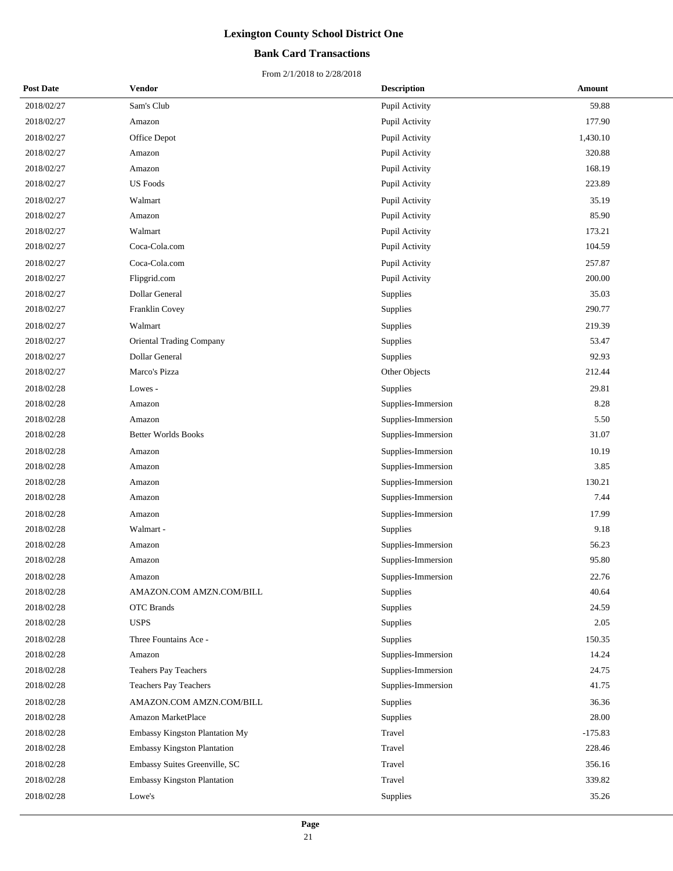## **Bank Card Transactions**

| <b>Post Date</b> | <b>Vendor</b>                   | <b>Description</b> | Amount    |
|------------------|---------------------------------|--------------------|-----------|
| 2018/02/27       | Sam's Club                      | Pupil Activity     | 59.88     |
| 2018/02/27       | Amazon                          | Pupil Activity     | 177.90    |
| 2018/02/27       | Office Depot                    | Pupil Activity     | 1,430.10  |
| 2018/02/27       | Amazon                          | Pupil Activity     | 320.88    |
| 2018/02/27       | Amazon                          | Pupil Activity     | 168.19    |
| 2018/02/27       | <b>US</b> Foods                 | Pupil Activity     | 223.89    |
| 2018/02/27       | Walmart                         | Pupil Activity     | 35.19     |
| 2018/02/27       | Amazon                          | Pupil Activity     | 85.90     |
| 2018/02/27       | Walmart                         | Pupil Activity     | 173.21    |
| 2018/02/27       | Coca-Cola.com                   | Pupil Activity     | 104.59    |
| 2018/02/27       | Coca-Cola.com                   | Pupil Activity     | 257.87    |
| 2018/02/27       | Flipgrid.com                    | Pupil Activity     | 200.00    |
| 2018/02/27       | Dollar General                  | <b>Supplies</b>    | 35.03     |
| 2018/02/27       | Franklin Covey                  | Supplies           | 290.77    |
| 2018/02/27       | Walmart                         | Supplies           | 219.39    |
| 2018/02/27       | <b>Oriental Trading Company</b> | <b>Supplies</b>    | 53.47     |
| 2018/02/27       | Dollar General                  | Supplies           | 92.93     |
| 2018/02/27       | Marco's Pizza                   | Other Objects      | 212.44    |
| 2018/02/28       | Lowes -                         | <b>Supplies</b>    | 29.81     |
| 2018/02/28       | Amazon                          | Supplies-Immersion | 8.28      |
| 2018/02/28       | Amazon                          | Supplies-Immersion | 5.50      |
| 2018/02/28       | <b>Better Worlds Books</b>      | Supplies-Immersion | 31.07     |
| 2018/02/28       | Amazon                          | Supplies-Immersion | 10.19     |
| 2018/02/28       | Amazon                          | Supplies-Immersion | 3.85      |
| 2018/02/28       | Amazon                          | Supplies-Immersion | 130.21    |
| 2018/02/28       | Amazon                          | Supplies-Immersion | 7.44      |
| 2018/02/28       | Amazon                          | Supplies-Immersion | 17.99     |
| 2018/02/28       | Walmart -                       | Supplies           | 9.18      |
| 2018/02/28       | Amazon                          | Supplies-Immersion | 56.23     |
| 2018/02/28       | Amazon                          | Supplies-Immersion | 95.80     |
| 2018/02/28       | Amazon                          | Supplies-Immersion | 22.76     |
| 2018/02/28       | AMAZON.COM AMZN.COM/BILL        | Supplies           | 40.64     |
| 2018/02/28       | <b>OTC</b> Brands               | Supplies           | 24.59     |
| 2018/02/28       | <b>USPS</b>                     | Supplies           | 2.05      |
| 2018/02/28       | Three Fountains Ace -           | Supplies           | 150.35    |
| 2018/02/28       | Amazon                          | Supplies-Immersion | 14.24     |
| 2018/02/28       | Teahers Pay Teachers            | Supplies-Immersion | 24.75     |
| 2018/02/28       | Teachers Pay Teachers           | Supplies-Immersion | 41.75     |
| 2018/02/28       | AMAZON.COM AMZN.COM/BILL        | <b>Supplies</b>    | 36.36     |
| 2018/02/28       | Amazon MarketPlace              | <b>Supplies</b>    | 28.00     |
| 2018/02/28       | Embassy Kingston Plantation My  | Travel             | $-175.83$ |
| 2018/02/28       | Embassy Kingston Plantation     | Travel             | 228.46    |
| 2018/02/28       | Embassy Suites Greenville, SC   | Travel             | 356.16    |
| 2018/02/28       | Embassy Kingston Plantation     | Travel             | 339.82    |
| 2018/02/28       | Lowe's                          | Supplies           | 35.26     |
|                  |                                 |                    |           |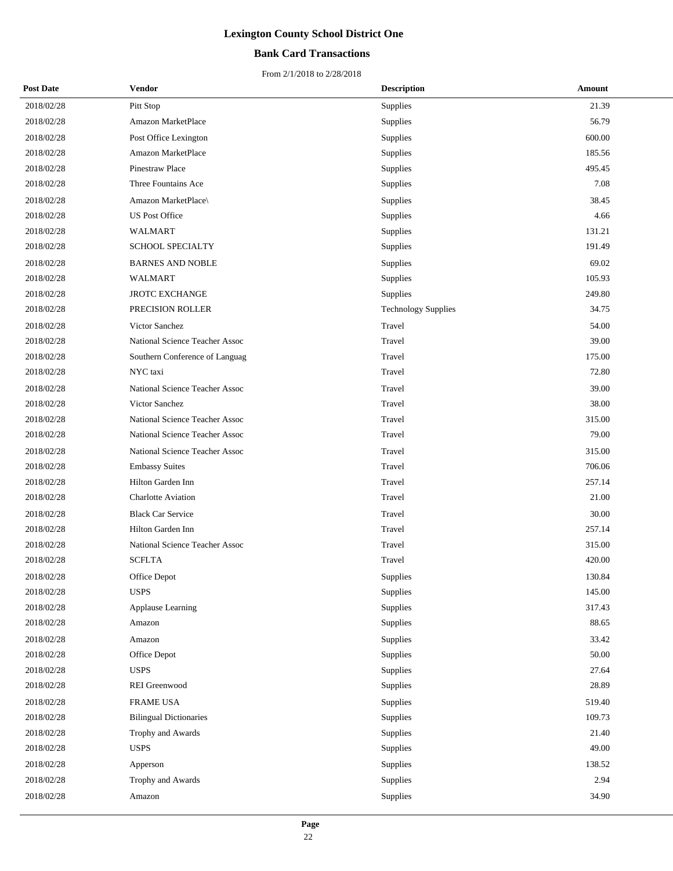## **Bank Card Transactions**

| <b>Post Date</b> | <b>Vendor</b>                  | <b>Description</b>         | Amount |
|------------------|--------------------------------|----------------------------|--------|
| 2018/02/28       | Pitt Stop                      | Supplies                   | 21.39  |
| 2018/02/28       | Amazon MarketPlace             | Supplies                   | 56.79  |
| 2018/02/28       | Post Office Lexington          | Supplies                   | 600.00 |
| 2018/02/28       | Amazon MarketPlace             | Supplies                   | 185.56 |
| 2018/02/28       | Pinestraw Place                | Supplies                   | 495.45 |
| 2018/02/28       | Three Fountains Ace            | Supplies                   | 7.08   |
| 2018/02/28       | Amazon MarketPlace\            | Supplies                   | 38.45  |
| 2018/02/28       | <b>US Post Office</b>          | Supplies                   | 4.66   |
| 2018/02/28       | <b>WALMART</b>                 | Supplies                   | 131.21 |
| 2018/02/28       | <b>SCHOOL SPECIALTY</b>        | Supplies                   | 191.49 |
| 2018/02/28       | <b>BARNES AND NOBLE</b>        | Supplies                   | 69.02  |
| 2018/02/28       | <b>WALMART</b>                 | Supplies                   | 105.93 |
| 2018/02/28       | <b>JROTC EXCHANGE</b>          | Supplies                   | 249.80 |
| 2018/02/28       | PRECISION ROLLER               | <b>Technology Supplies</b> | 34.75  |
| 2018/02/28       | Victor Sanchez                 | Travel                     | 54.00  |
| 2018/02/28       | National Science Teacher Assoc | Travel                     | 39.00  |
| 2018/02/28       | Southern Conference of Languag | Travel                     | 175.00 |
| 2018/02/28       | NYC taxi                       | Travel                     | 72.80  |
| 2018/02/28       | National Science Teacher Assoc | Travel                     | 39.00  |
| 2018/02/28       | Victor Sanchez                 | Travel                     | 38.00  |
| 2018/02/28       | National Science Teacher Assoc | Travel                     | 315.00 |
| 2018/02/28       | National Science Teacher Assoc | Travel                     | 79.00  |
| 2018/02/28       | National Science Teacher Assoc | Travel                     | 315.00 |
| 2018/02/28       | <b>Embassy Suites</b>          | Travel                     | 706.06 |
| 2018/02/28       | Hilton Garden Inn              | Travel                     | 257.14 |
| 2018/02/28       | <b>Charlotte Aviation</b>      | Travel                     | 21.00  |
| 2018/02/28       | <b>Black Car Service</b>       | Travel                     | 30.00  |
| 2018/02/28       | Hilton Garden Inn              | Travel                     | 257.14 |
| 2018/02/28       | National Science Teacher Assoc | Travel                     | 315.00 |
| 2018/02/28       | <b>SCFLTA</b>                  | Travel                     | 420.00 |
| 2018/02/28       | Office Depot                   | Supplies                   | 130.84 |
| 2018/02/28       | <b>USPS</b>                    | Supplies                   | 145.00 |
| 2018/02/28       | Applause Learning              | Supplies                   | 317.43 |
| 2018/02/28       | Amazon                         | Supplies                   | 88.65  |
| 2018/02/28       | Amazon                         | Supplies                   | 33.42  |
| 2018/02/28       | Office Depot                   | Supplies                   | 50.00  |
| 2018/02/28       | <b>USPS</b>                    | Supplies                   | 27.64  |
| 2018/02/28       | <b>REI</b> Greenwood           | Supplies                   | 28.89  |
| 2018/02/28       | <b>FRAME USA</b>               | Supplies                   | 519.40 |
| 2018/02/28       | <b>Bilingual Dictionaries</b>  | Supplies                   | 109.73 |
| 2018/02/28       | Trophy and Awards              | Supplies                   | 21.40  |
| 2018/02/28       | <b>USPS</b>                    | Supplies                   | 49.00  |
| 2018/02/28       | Apperson                       | Supplies                   | 138.52 |
| 2018/02/28       | Trophy and Awards              | Supplies                   | 2.94   |
| 2018/02/28       | Amazon                         | Supplies                   | 34.90  |
|                  |                                |                            |        |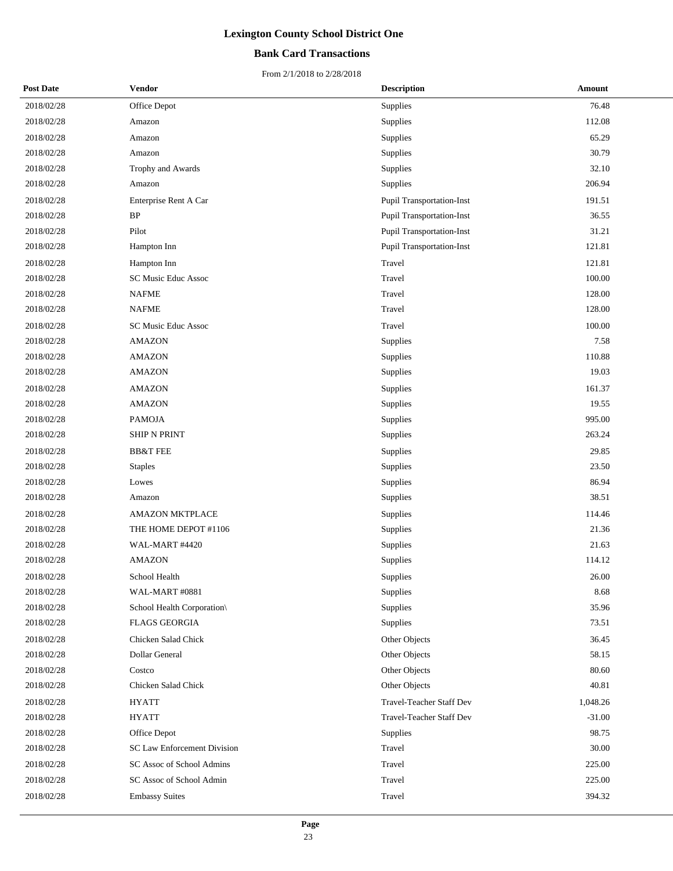## **Bank Card Transactions**

| <b>Post Date</b> | <b>Vendor</b>               | <b>Description</b>               | Amount   |
|------------------|-----------------------------|----------------------------------|----------|
| 2018/02/28       | Office Depot                | Supplies                         | 76.48    |
| 2018/02/28       | Amazon                      | Supplies                         | 112.08   |
| 2018/02/28       | Amazon                      | Supplies                         | 65.29    |
| 2018/02/28       | Amazon                      | Supplies                         | 30.79    |
| 2018/02/28       | Trophy and Awards           | Supplies                         | 32.10    |
| 2018/02/28       | Amazon                      | Supplies                         | 206.94   |
| 2018/02/28       | Enterprise Rent A Car       | Pupil Transportation-Inst        | 191.51   |
| 2018/02/28       | BP                          | <b>Pupil Transportation-Inst</b> | 36.55    |
| 2018/02/28       | Pilot                       | <b>Pupil Transportation-Inst</b> | 31.21    |
| 2018/02/28       | Hampton Inn                 | Pupil Transportation-Inst        | 121.81   |
| 2018/02/28       | Hampton Inn                 | Travel                           | 121.81   |
| 2018/02/28       | SC Music Educ Assoc         | Travel                           | 100.00   |
| 2018/02/28       | <b>NAFME</b>                | Travel                           | 128.00   |
| 2018/02/28       | NAFME                       | Travel                           | 128.00   |
| 2018/02/28       | SC Music Educ Assoc         | Travel                           | 100.00   |
| 2018/02/28       | <b>AMAZON</b>               | Supplies                         | 7.58     |
| 2018/02/28       | <b>AMAZON</b>               | Supplies                         | 110.88   |
| 2018/02/28       | <b>AMAZON</b>               | Supplies                         | 19.03    |
| 2018/02/28       | <b>AMAZON</b>               | Supplies                         | 161.37   |
| 2018/02/28       | <b>AMAZON</b>               | Supplies                         | 19.55    |
| 2018/02/28       | <b>PAMOJA</b>               | Supplies                         | 995.00   |
| 2018/02/28       | <b>SHIP N PRINT</b>         | Supplies                         | 263.24   |
| 2018/02/28       | <b>BB&amp;T FEE</b>         | Supplies                         | 29.85    |
| 2018/02/28       | <b>Staples</b>              | Supplies                         | 23.50    |
| 2018/02/28       | Lowes                       | Supplies                         | 86.94    |
| 2018/02/28       | Amazon                      | Supplies                         | 38.51    |
| 2018/02/28       | <b>AMAZON MKTPLACE</b>      | Supplies                         | 114.46   |
| 2018/02/28       | THE HOME DEPOT #1106        | Supplies                         | 21.36    |
| 2018/02/28       | WAL-MART #4420              | Supplies                         | 21.63    |
| 2018/02/28       | <b>AMAZON</b>               | Supplies                         | 114.12   |
| 2018/02/28       | School Health               | Supplies                         | 26.00    |
| 2018/02/28       | WAL-MART #0881              | Supplies                         | 8.68     |
| 2018/02/28       | School Health Corporation\  | Supplies                         | 35.96    |
| 2018/02/28       | <b>FLAGS GEORGIA</b>        | Supplies                         | 73.51    |
| 2018/02/28       | Chicken Salad Chick         | Other Objects                    | 36.45    |
| 2018/02/28       | Dollar General              | Other Objects                    | 58.15    |
| 2018/02/28       | Costco                      | Other Objects                    | 80.60    |
| 2018/02/28       | Chicken Salad Chick         | Other Objects                    | 40.81    |
| 2018/02/28       | <b>HYATT</b>                | Travel-Teacher Staff Dev         | 1,048.26 |
| 2018/02/28       | <b>HYATT</b>                | <b>Travel-Teacher Staff Dev</b>  | $-31.00$ |
| 2018/02/28       | Office Depot                | Supplies                         | 98.75    |
| 2018/02/28       | SC Law Enforcement Division | Travel                           | 30.00    |
| 2018/02/28       | SC Assoc of School Admins   | Travel                           | 225.00   |
| 2018/02/28       | SC Assoc of School Admin    | Travel                           | 225.00   |
| 2018/02/28       | <b>Embassy Suites</b>       | Travel                           | 394.32   |
|                  |                             |                                  |          |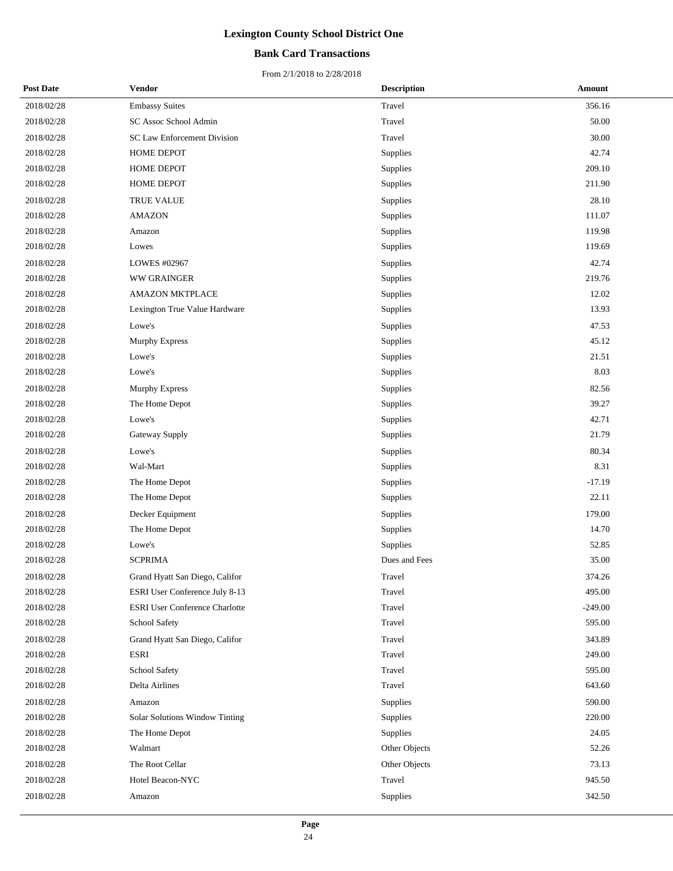## **Bank Card Transactions**

| <b>Post Date</b> | Vendor                                | <b>Description</b> | Amount    |
|------------------|---------------------------------------|--------------------|-----------|
| 2018/02/28       | <b>Embassy Suites</b>                 | Travel             | 356.16    |
| 2018/02/28       | SC Assoc School Admin                 | Travel             | 50.00     |
| 2018/02/28       | <b>SC Law Enforcement Division</b>    | Travel             | 30.00     |
| 2018/02/28       | HOME DEPOT                            | Supplies           | 42.74     |
| 2018/02/28       | HOME DEPOT                            | Supplies           | 209.10    |
| 2018/02/28       | HOME DEPOT                            | Supplies           | 211.90    |
| 2018/02/28       | TRUE VALUE                            | Supplies           | 28.10     |
| 2018/02/28       | <b>AMAZON</b>                         | Supplies           | 111.07    |
| 2018/02/28       | Amazon                                | Supplies           | 119.98    |
| 2018/02/28       | Lowes                                 | Supplies           | 119.69    |
| 2018/02/28       | LOWES #02967                          | Supplies           | 42.74     |
| 2018/02/28       | <b>WW GRAINGER</b>                    | Supplies           | 219.76    |
| 2018/02/28       | <b>AMAZON MKTPLACE</b>                | Supplies           | 12.02     |
| 2018/02/28       | Lexington True Value Hardware         | Supplies           | 13.93     |
| 2018/02/28       | Lowe's                                | Supplies           | 47.53     |
| 2018/02/28       | <b>Murphy Express</b>                 | Supplies           | 45.12     |
| 2018/02/28       | Lowe's                                | Supplies           | 21.51     |
| 2018/02/28       | Lowe's                                | Supplies           | 8.03      |
| 2018/02/28       | Murphy Express                        | Supplies           | 82.56     |
| 2018/02/28       | The Home Depot                        | Supplies           | 39.27     |
| 2018/02/28       | Lowe's                                | Supplies           | 42.71     |
| 2018/02/28       | Gateway Supply                        | Supplies           | 21.79     |
| 2018/02/28       | Lowe's                                | Supplies           | 80.34     |
| 2018/02/28       | Wal-Mart                              | Supplies           | 8.31      |
| 2018/02/28       | The Home Depot                        | Supplies           | $-17.19$  |
| 2018/02/28       | The Home Depot                        | Supplies           | 22.11     |
| 2018/02/28       | Decker Equipment                      | Supplies           | 179.00    |
| 2018/02/28       | The Home Depot                        | Supplies           | 14.70     |
| 2018/02/28       | Lowe's                                | Supplies           | 52.85     |
| 2018/02/28       | <b>SCPRIMA</b>                        | Dues and Fees      | 35.00     |
| 2018/02/28       | Grand Hyatt San Diego, Califor        | Travel             | 374.26    |
| 2018/02/28       | ESRI User Conference July 8-13        | Travel             | 495.00    |
| 2018/02/28       | <b>ESRI User Conference Charlotte</b> | Travel             | $-249.00$ |
| 2018/02/28       | School Safety                         | Travel             | 595.00    |
| 2018/02/28       | Grand Hyatt San Diego, Califor        | Travel             | 343.89    |
| 2018/02/28       | <b>ESRI</b>                           | Travel             | 249.00    |
| 2018/02/28       | School Safety                         | Travel             | 595.00    |
| 2018/02/28       | Delta Airlines                        | Travel             | 643.60    |
| 2018/02/28       | Amazon                                | Supplies           | 590.00    |
| 2018/02/28       | Solar Solutions Window Tinting        | Supplies           | 220.00    |
| 2018/02/28       | The Home Depot                        | Supplies           | 24.05     |
| 2018/02/28       | Walmart                               | Other Objects      | 52.26     |
| 2018/02/28       | The Root Cellar                       | Other Objects      | 73.13     |
| 2018/02/28       | Hotel Beacon-NYC                      | Travel             | 945.50    |
| 2018/02/28       | Amazon                                | Supplies           | 342.50    |
|                  |                                       |                    |           |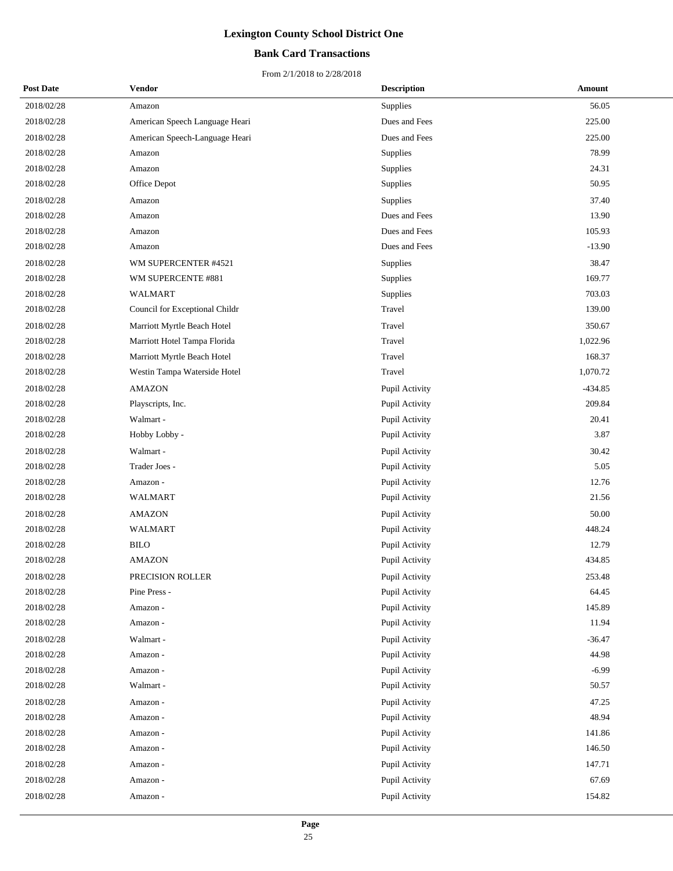## **Bank Card Transactions**

| <b>Post Date</b> | Vendor                         | <b>Description</b> | Amount    |
|------------------|--------------------------------|--------------------|-----------|
| 2018/02/28       | Amazon                         | <b>Supplies</b>    | 56.05     |
| 2018/02/28       | American Speech Language Heari | Dues and Fees      | 225.00    |
| 2018/02/28       | American Speech-Language Heari | Dues and Fees      | 225.00    |
| 2018/02/28       | Amazon                         | Supplies           | 78.99     |
| 2018/02/28       | Amazon                         | Supplies           | 24.31     |
| 2018/02/28       | Office Depot                   | Supplies           | 50.95     |
| 2018/02/28       | Amazon                         | Supplies           | 37.40     |
| 2018/02/28       | Amazon                         | Dues and Fees      | 13.90     |
| 2018/02/28       | Amazon                         | Dues and Fees      | 105.93    |
| 2018/02/28       | Amazon                         | Dues and Fees      | $-13.90$  |
| 2018/02/28       | WM SUPERCENTER #4521           | Supplies           | 38.47     |
| 2018/02/28       | WM SUPERCENTE #881             | Supplies           | 169.77    |
| 2018/02/28       | <b>WALMART</b>                 | Supplies           | 703.03    |
| 2018/02/28       | Council for Exceptional Childr | Travel             | 139.00    |
| 2018/02/28       | Marriott Myrtle Beach Hotel    | Travel             | 350.67    |
| 2018/02/28       | Marriott Hotel Tampa Florida   | Travel             | 1,022.96  |
| 2018/02/28       | Marriott Myrtle Beach Hotel    | Travel             | 168.37    |
| 2018/02/28       | Westin Tampa Waterside Hotel   | Travel             | 1,070.72  |
| 2018/02/28       | <b>AMAZON</b>                  | Pupil Activity     | $-434.85$ |
| 2018/02/28       | Playscripts, Inc.              | Pupil Activity     | 209.84    |
| 2018/02/28       | Walmart -                      | Pupil Activity     | 20.41     |
| 2018/02/28       | Hobby Lobby -                  | Pupil Activity     | 3.87      |
| 2018/02/28       | Walmart -                      | Pupil Activity     | 30.42     |
| 2018/02/28       | Trader Joes -                  | Pupil Activity     | 5.05      |
| 2018/02/28       | Amazon -                       | Pupil Activity     | 12.76     |
| 2018/02/28       | <b>WALMART</b>                 | Pupil Activity     | 21.56     |
| 2018/02/28       | <b>AMAZON</b>                  | Pupil Activity     | 50.00     |
| 2018/02/28       | <b>WALMART</b>                 | Pupil Activity     | 448.24    |
| 2018/02/28       | <b>BILO</b>                    | Pupil Activity     | 12.79     |
| 2018/02/28       | <b>AMAZON</b>                  | Pupil Activity     | 434.85    |
| 2018/02/28       | PRECISION ROLLER               | Pupil Activity     | 253.48    |
| 2018/02/28       | Pine Press -                   | Pupil Activity     | 64.45     |
| 2018/02/28       | Amazon -                       | Pupil Activity     | 145.89    |
| 2018/02/28       | Amazon -                       | Pupil Activity     | 11.94     |
| 2018/02/28       | Walmart -                      | Pupil Activity     | $-36.47$  |
| 2018/02/28       | Amazon -                       | Pupil Activity     | 44.98     |
| 2018/02/28       | Amazon -                       | Pupil Activity     | $-6.99$   |
| 2018/02/28       | Walmart -                      | Pupil Activity     | 50.57     |
| 2018/02/28       | Amazon -                       | Pupil Activity     | 47.25     |
| 2018/02/28       | Amazon -                       | Pupil Activity     | 48.94     |
| 2018/02/28       | Amazon -                       | Pupil Activity     | 141.86    |
| 2018/02/28       | Amazon -                       | Pupil Activity     | 146.50    |
| 2018/02/28       | Amazon -                       | Pupil Activity     | 147.71    |
| 2018/02/28       | Amazon -                       | Pupil Activity     | 67.69     |
| 2018/02/28       | Amazon -                       | Pupil Activity     | 154.82    |
|                  |                                |                    |           |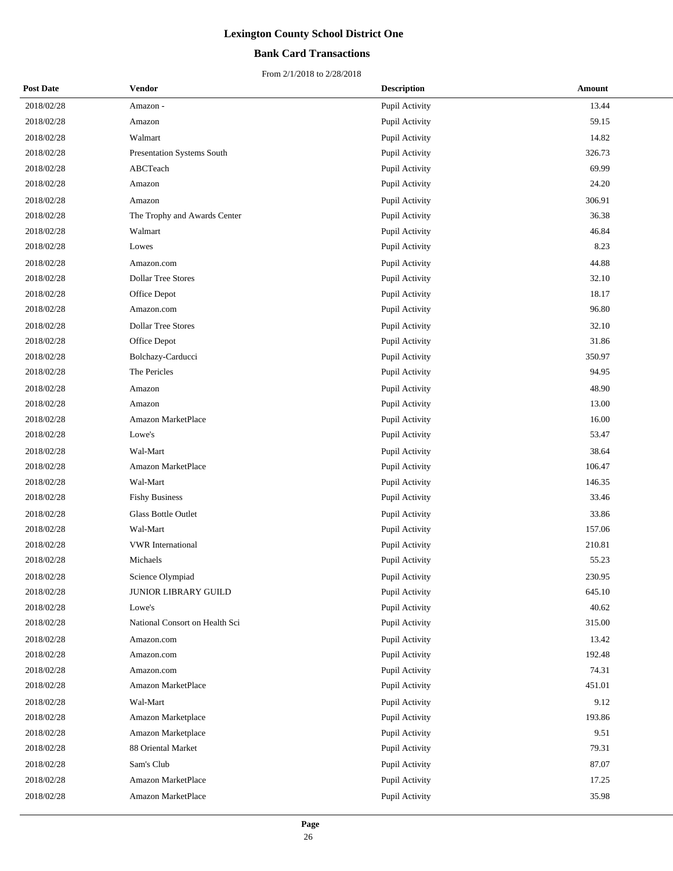## **Bank Card Transactions**

| <b>Post Date</b> | <b>Vendor</b>                  | <b>Description</b> | Amount |
|------------------|--------------------------------|--------------------|--------|
| 2018/02/28       | Amazon -                       | Pupil Activity     | 13.44  |
| 2018/02/28       | Amazon                         | Pupil Activity     | 59.15  |
| 2018/02/28       | Walmart                        | Pupil Activity     | 14.82  |
| 2018/02/28       | Presentation Systems South     | Pupil Activity     | 326.73 |
| 2018/02/28       | ABCTeach                       | Pupil Activity     | 69.99  |
| 2018/02/28       | Amazon                         | Pupil Activity     | 24.20  |
| 2018/02/28       | Amazon                         | Pupil Activity     | 306.91 |
| 2018/02/28       | The Trophy and Awards Center   | Pupil Activity     | 36.38  |
| 2018/02/28       | Walmart                        | Pupil Activity     | 46.84  |
| 2018/02/28       | Lowes                          | Pupil Activity     | 8.23   |
| 2018/02/28       | Amazon.com                     | Pupil Activity     | 44.88  |
| 2018/02/28       | <b>Dollar Tree Stores</b>      | Pupil Activity     | 32.10  |
| 2018/02/28       | Office Depot                   | Pupil Activity     | 18.17  |
| 2018/02/28       | Amazon.com                     | Pupil Activity     | 96.80  |
| 2018/02/28       | <b>Dollar Tree Stores</b>      | Pupil Activity     | 32.10  |
| 2018/02/28       | Office Depot                   | Pupil Activity     | 31.86  |
| 2018/02/28       | Bolchazy-Carducci              | Pupil Activity     | 350.97 |
| 2018/02/28       | The Pericles                   | Pupil Activity     | 94.95  |
| 2018/02/28       | Amazon                         | Pupil Activity     | 48.90  |
| 2018/02/28       | Amazon                         | Pupil Activity     | 13.00  |
| 2018/02/28       | <b>Amazon MarketPlace</b>      | Pupil Activity     | 16.00  |
| 2018/02/28       | Lowe's                         | Pupil Activity     | 53.47  |
| 2018/02/28       | Wal-Mart                       | Pupil Activity     | 38.64  |
| 2018/02/28       | Amazon MarketPlace             | Pupil Activity     | 106.47 |
| 2018/02/28       | Wal-Mart                       | Pupil Activity     | 146.35 |
| 2018/02/28       | <b>Fishy Business</b>          | Pupil Activity     | 33.46  |
| 2018/02/28       | <b>Glass Bottle Outlet</b>     | Pupil Activity     | 33.86  |
| 2018/02/28       | Wal-Mart                       | Pupil Activity     | 157.06 |
| 2018/02/28       | <b>VWR</b> International       | Pupil Activity     | 210.81 |
| 2018/02/28       | Michaels                       | Pupil Activity     | 55.23  |
| 2018/02/28       | Science Olympiad               | Pupil Activity     | 230.95 |
| 2018/02/28       | JUNIOR LIBRARY GUILD           | Pupil Activity     | 645.10 |
| 2018/02/28       | Lowe's                         | Pupil Activity     | 40.62  |
| 2018/02/28       | National Consort on Health Sci | Pupil Activity     | 315.00 |
| 2018/02/28       | Amazon.com                     | Pupil Activity     | 13.42  |
| 2018/02/28       | Amazon.com                     | Pupil Activity     | 192.48 |
| 2018/02/28       | Amazon.com                     | Pupil Activity     | 74.31  |
| 2018/02/28       | Amazon MarketPlace             | Pupil Activity     | 451.01 |
| 2018/02/28       | Wal-Mart                       | Pupil Activity     | 9.12   |
| 2018/02/28       | Amazon Marketplace             | Pupil Activity     | 193.86 |
| 2018/02/28       | Amazon Marketplace             | Pupil Activity     | 9.51   |
| 2018/02/28       | 88 Oriental Market             | Pupil Activity     | 79.31  |
| 2018/02/28       | Sam's Club                     | Pupil Activity     | 87.07  |
| 2018/02/28       | Amazon MarketPlace             | Pupil Activity     | 17.25  |
| 2018/02/28       | Amazon MarketPlace             | Pupil Activity     | 35.98  |
|                  |                                |                    |        |